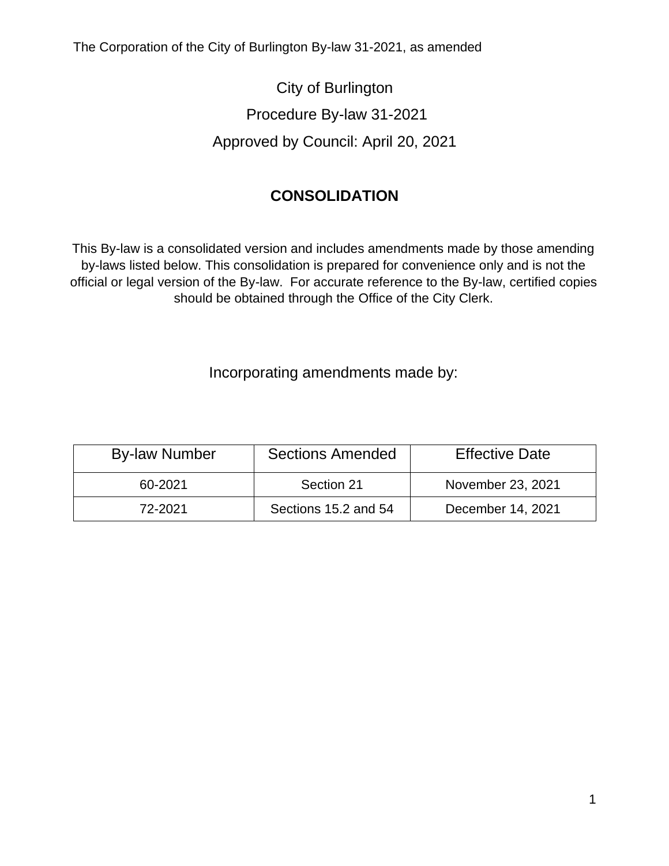The Corporation of the City of Burlington By-law 31-2021, as amended

City of Burlington Procedure By-law 31-2021 Approved by Council: April 20, 2021

## **CONSOLIDATION**

This By-law is a consolidated version and includes amendments made by those amending by-laws listed below. This consolidation is prepared for convenience only and is not the official or legal version of the By-law. For accurate reference to the By-law, certified copies should be obtained through the Office of the City Clerk.

Incorporating amendments made by:

| <b>By-law Number</b> | <b>Sections Amended</b> | <b>Effective Date</b> |
|----------------------|-------------------------|-----------------------|
| 60-2021              | Section 21              | November 23, 2021     |
| 72-2021              | Sections 15.2 and 54    | December 14, 2021     |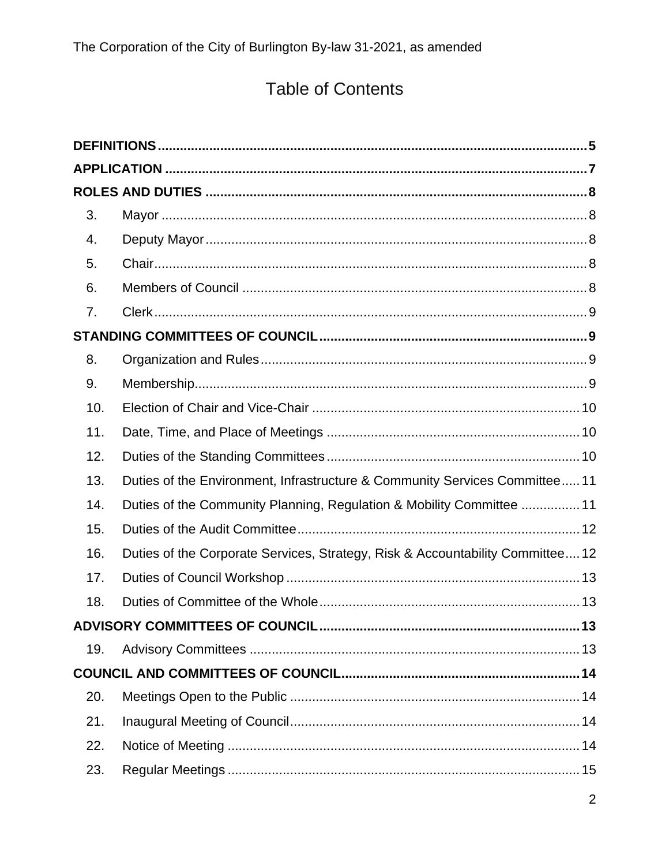# **Table of Contents**

| 3.  |                                                                               |
|-----|-------------------------------------------------------------------------------|
| 4.  |                                                                               |
| 5.  |                                                                               |
| 6.  |                                                                               |
| 7.  |                                                                               |
|     |                                                                               |
| 8.  |                                                                               |
| 9.  |                                                                               |
| 10. |                                                                               |
| 11. |                                                                               |
| 12. |                                                                               |
| 13. | Duties of the Environment, Infrastructure & Community Services Committee 11   |
| 14. | Duties of the Community Planning, Regulation & Mobility Committee  11         |
| 15. |                                                                               |
| 16. | Duties of the Corporate Services, Strategy, Risk & Accountability Committee12 |
| 17. |                                                                               |
| 18. |                                                                               |
|     |                                                                               |
| 19. |                                                                               |
|     |                                                                               |
| 20. |                                                                               |
| 21. |                                                                               |
| 22. |                                                                               |
| 23. |                                                                               |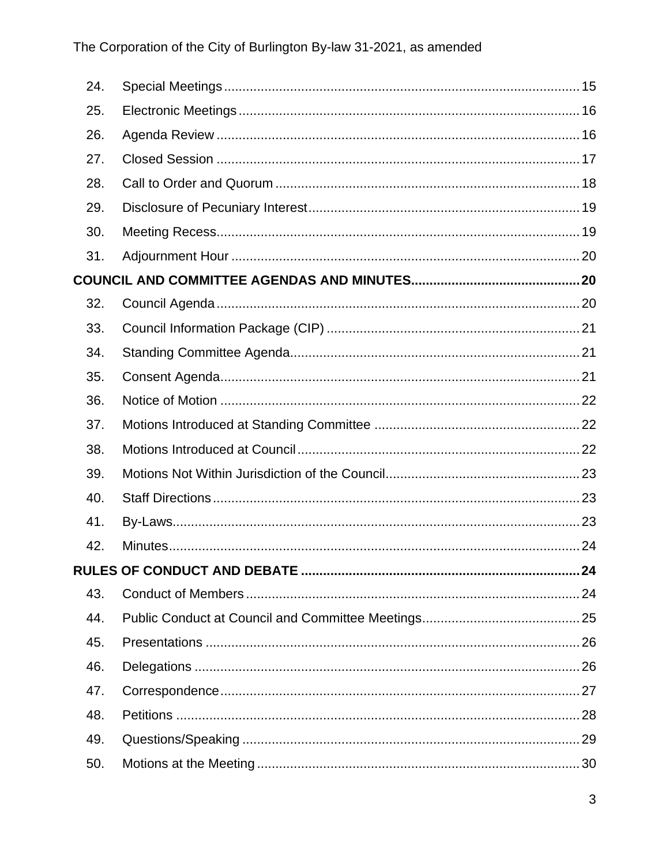| 24. |  |
|-----|--|
| 25. |  |
| 26. |  |
| 27. |  |
| 28. |  |
| 29. |  |
| 30. |  |
| 31. |  |
|     |  |
| 32. |  |
| 33. |  |
| 34. |  |
| 35. |  |
| 36. |  |
| 37. |  |
| 38. |  |
| 39. |  |
| 40. |  |
| 41. |  |
| 42. |  |
|     |  |
| 43. |  |
| 44. |  |
| 45. |  |
| 46. |  |
| 47. |  |
| 48. |  |
| 49. |  |
| 50. |  |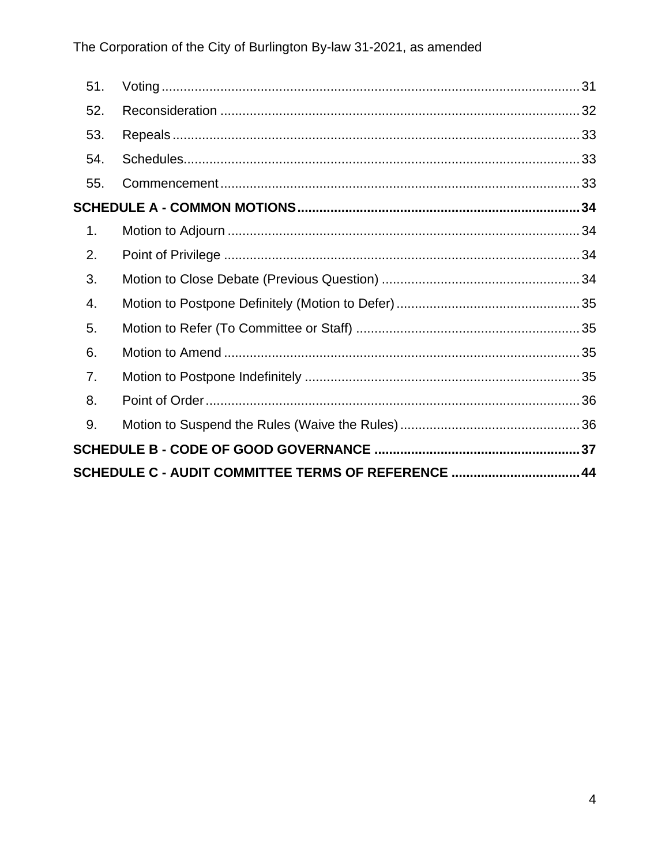| 51.                                                 |  |  |
|-----------------------------------------------------|--|--|
| 52.                                                 |  |  |
| 53.                                                 |  |  |
| 54.                                                 |  |  |
| 55.                                                 |  |  |
|                                                     |  |  |
| 1.                                                  |  |  |
| 2.                                                  |  |  |
| 3.                                                  |  |  |
| 4.                                                  |  |  |
| 5.                                                  |  |  |
| 6.                                                  |  |  |
| 7.                                                  |  |  |
| 8.                                                  |  |  |
| 9.                                                  |  |  |
|                                                     |  |  |
| SCHEDULE C - AUDIT COMMITTEE TERMS OF REFERENCE  44 |  |  |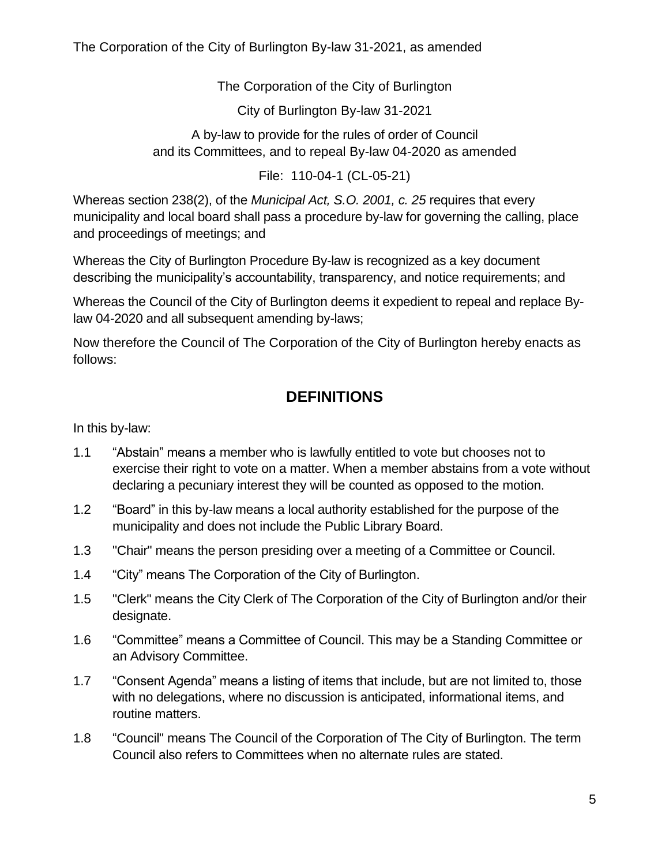The Corporation of the City of Burlington By-law 31-2021, as amended

The Corporation of the City of Burlington

City of Burlington By-law 31-2021

A by-law to provide for the rules of order of Council and its Committees, and to repeal By-law 04-2020 as amended

File: 110-04-1 (CL-05-21)

Whereas section 238(2), of the *Municipal Act, S.O. 2001, c. 25* requires that every municipality and local board shall pass a procedure by-law for governing the calling, place and proceedings of meetings; and

Whereas the City of Burlington Procedure By-law is recognized as a key document describing the municipality's accountability, transparency, and notice requirements; and

Whereas the Council of the City of Burlington deems it expedient to repeal and replace Bylaw 04-2020 and all subsequent amending by-laws;

<span id="page-4-0"></span>Now therefore the Council of The Corporation of the City of Burlington hereby enacts as follows:

## **DEFINITIONS**

In this by-law:

- 1.1 "Abstain" means a member who is lawfully entitled to vote but chooses not to exercise their right to vote on a matter. When a member abstains from a vote without declaring a pecuniary interest they will be counted as opposed to the motion.
- 1.2 "Board" in this by-law means a local authority established for the purpose of the municipality and does not include the Public Library Board.
- 1.3 "Chair" means the person presiding over a meeting of a Committee or Council.
- 1.4 "City" means The Corporation of the City of Burlington.
- 1.5 "Clerk" means the City Clerk of The Corporation of the City of Burlington and/or their designate.
- 1.6 "Committee" means a Committee of Council. This may be a Standing Committee or an Advisory Committee.
- 1.7 "Consent Agenda" means a listing of items that include, but are not limited to, those with no delegations, where no discussion is anticipated, informational items, and routine matters.
- 1.8 "Council" means The Council of the Corporation of The City of Burlington. The term Council also refers to Committees when no alternate rules are stated.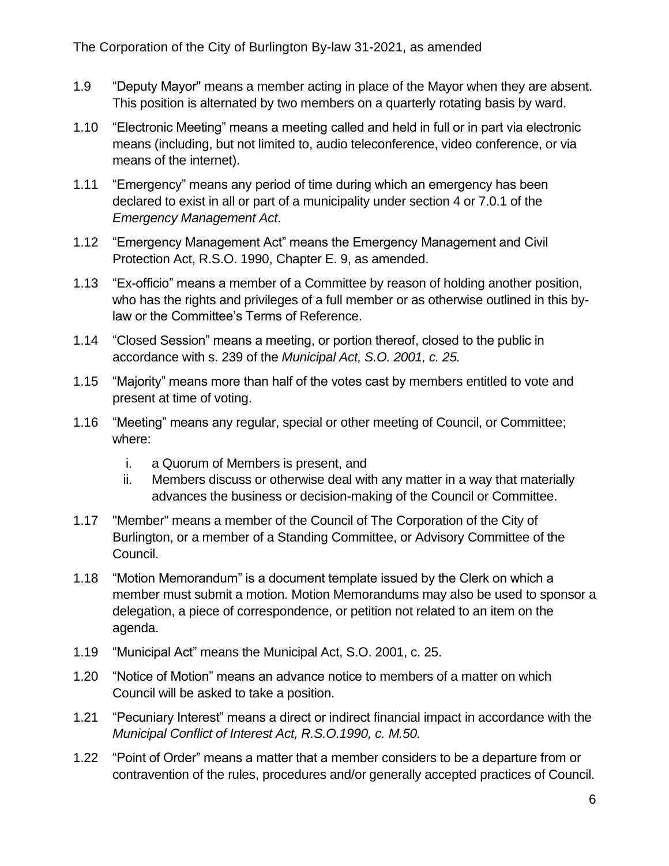- 1.9 "Deputy Mayor" means a member acting in place of the Mayor when they are absent. This position is alternated by two members on a quarterly rotating basis by ward.
- 1.10 "Electronic Meeting" means a meeting called and held in full or in part via electronic means (including, but not limited to, audio teleconference, video conference, or via means of the internet).
- 1.11 "Emergency" means any period of time during which an emergency has been declared to exist in all or part of a municipality under section 4 or 7.0.1 of the *Emergency Management Act*.
- 1.12 "Emergency Management Act" means the Emergency Management and Civil Protection Act, R.S.O. 1990, Chapter E. 9, as amended.
- 1.13 "Ex-officio" means a member of a Committee by reason of holding another position, who has the rights and privileges of a full member or as otherwise outlined in this bylaw or the Committee's Terms of Reference.
- 1.14 "Closed Session" means a meeting, or portion thereof, closed to the public in accordance with s. 239 of the *Municipal Act, S.O. 2001, c. 25.*
- 1.15 "Majority" means more than half of the votes cast by members entitled to vote and present at time of voting.
- 1.16 "Meeting" means any regular, special or other meeting of Council, or Committee; where:
	- i. a Quorum of Members is present, and
	- ii. Members discuss or otherwise deal with any matter in a way that materially advances the business or decision-making of the Council or Committee.
- 1.17 "Member" means a member of the Council of The Corporation of the City of Burlington, or a member of a Standing Committee, or Advisory Committee of the Council.
- 1.18 "Motion Memorandum" is a document template issued by the Clerk on which a member must submit a motion. Motion Memorandums may also be used to sponsor a delegation, a piece of correspondence, or petition not related to an item on the agenda.
- 1.19 "Municipal Act" means the Municipal Act, S.O. 2001, c. 25.
- 1.20 "Notice of Motion" means an advance notice to members of a matter on which Council will be asked to take a position.
- 1.21 "Pecuniary Interest" means a direct or indirect financial impact in accordance with the *Municipal Conflict of Interest Act, R.S.O.1990, c. M.50.*
- 1.22 "Point of Order" means a matter that a member considers to be a departure from or contravention of the rules, procedures and/or generally accepted practices of Council.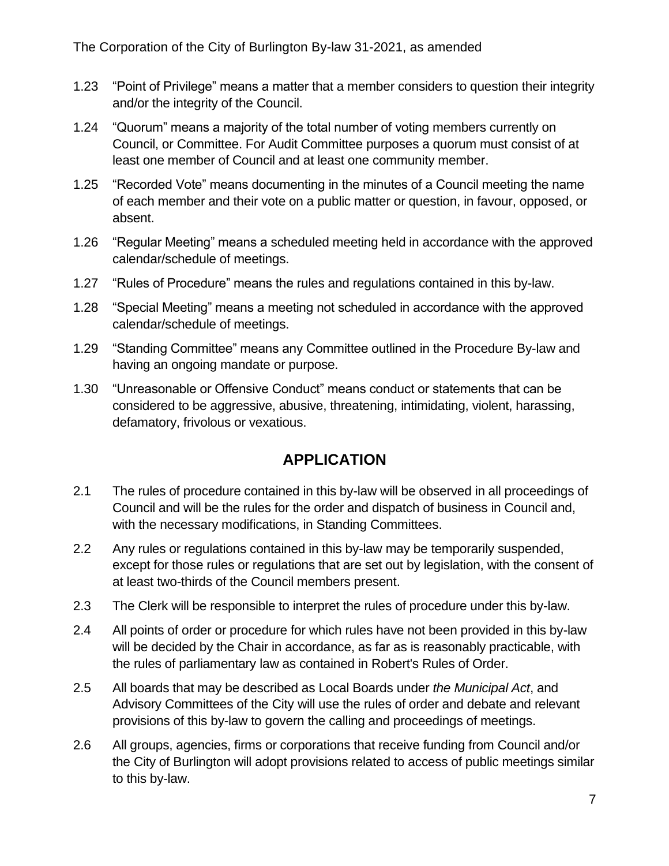- 1.23 "Point of Privilege" means a matter that a member considers to question their integrity and/or the integrity of the Council.
- 1.24 "Quorum" means a majority of the total number of voting members currently on Council, or Committee. For Audit Committee purposes a quorum must consist of at least one member of Council and at least one community member.
- 1.25 "Recorded Vote" means documenting in the minutes of a Council meeting the name of each member and their vote on a public matter or question, in favour, opposed, or absent.
- 1.26 "Regular Meeting" means a scheduled meeting held in accordance with the approved calendar/schedule of meetings.
- 1.27 "Rules of Procedure" means the rules and regulations contained in this by-law.
- 1.28 "Special Meeting" means a meeting not scheduled in accordance with the approved calendar/schedule of meetings.
- 1.29 "Standing Committee" means any Committee outlined in the Procedure By-law and having an ongoing mandate or purpose.
- 1.30 "Unreasonable or Offensive Conduct" means conduct or statements that can be considered to be aggressive, abusive, threatening, intimidating, violent, harassing, defamatory, frivolous or vexatious.

## **APPLICATION**

- <span id="page-6-0"></span>2.1 The rules of procedure contained in this by-law will be observed in all proceedings of Council and will be the rules for the order and dispatch of business in Council and, with the necessary modifications, in Standing Committees.
- 2.2 Any rules or regulations contained in this by-law may be temporarily suspended, except for those rules or regulations that are set out by legislation, with the consent of at least two-thirds of the Council members present.
- 2.3 The Clerk will be responsible to interpret the rules of procedure under this by-law.
- 2.4 All points of order or procedure for which rules have not been provided in this by-law will be decided by the Chair in accordance, as far as is reasonably practicable, with the rules of parliamentary law as contained in Robert's Rules of Order.
- 2.5 All boards that may be described as Local Boards under *the Municipal Act*, and Advisory Committees of the City will use the rules of order and debate and relevant provisions of this by-law to govern the calling and proceedings of meetings.
- 2.6 All groups, agencies, firms or corporations that receive funding from Council and/or the City of Burlington will adopt provisions related to access of public meetings similar to this by-law.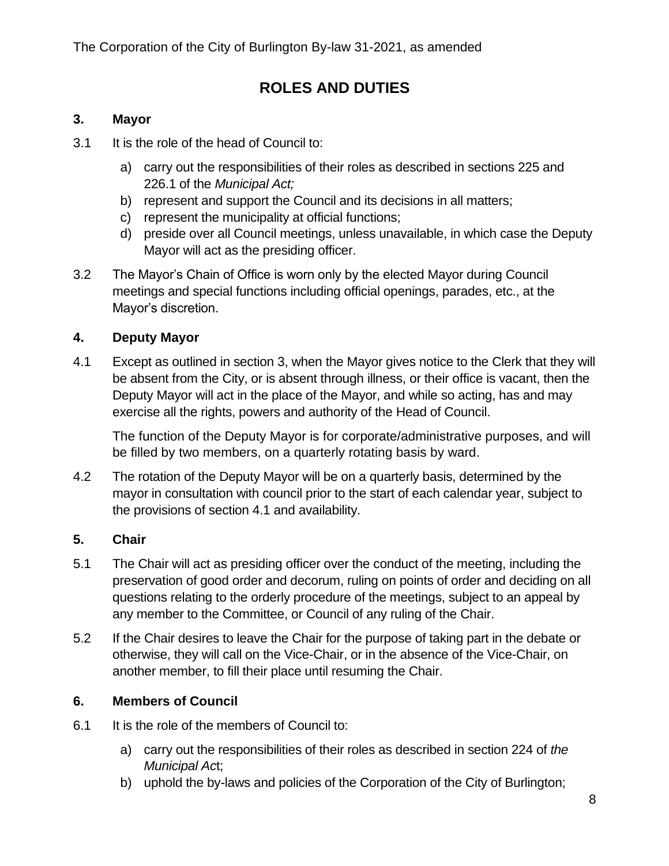## **ROLES AND DUTIES**

### <span id="page-7-1"></span><span id="page-7-0"></span>**3. Mayor**

- 3.1 It is the role of the head of Council to:
	- a) carry out the responsibilities of their roles as described in sections 225 and 226.1 of the *Municipal Act;*
	- b) represent and support the Council and its decisions in all matters;
	- c) represent the municipality at official functions;
	- d) preside over all Council meetings, unless unavailable, in which case the Deputy Mayor will act as the presiding officer.
- 3.2 The Mayor's Chain of Office is worn only by the elected Mayor during Council meetings and special functions including official openings, parades, etc., at the Mayor's discretion.

### <span id="page-7-2"></span>**4. Deputy Mayor**

4.1 Except as outlined in section [3,](#page-7-1) when the Mayor gives notice to the Clerk that they will be absent from the City, or is absent through illness, or their office is vacant, then the Deputy Mayor will act in the place of the Mayor, and while so acting, has and may exercise all the rights, powers and authority of the Head of Council.

The function of the Deputy Mayor is for corporate/administrative purposes, and will be filled by two members, on a quarterly rotating basis by ward.

4.2 The rotation of the Deputy Mayor will be on a quarterly basis, determined by the mayor in consultation with council prior to the start of each calendar year, subject to the provisions of section 4.1 and availability.

#### <span id="page-7-3"></span>**5. Chair**

- 5.1 The Chair will act as presiding officer over the conduct of the meeting, including the preservation of good order and decorum, ruling on points of order and deciding on all questions relating to the orderly procedure of the meetings, subject to an appeal by any member to the Committee, or Council of any ruling of the Chair.
- 5.2 If the Chair desires to leave the Chair for the purpose of taking part in the debate or otherwise, they will call on the Vice-Chair, or in the absence of the Vice-Chair, on another member, to fill their place until resuming the Chair.

## <span id="page-7-4"></span>**6. Members of Council**

- 6.1 It is the role of the members of Council to:
	- a) carry out the responsibilities of their roles as described in section 224 of *the Municipal Ac*t;
	- b) uphold the by-laws and policies of the Corporation of the City of Burlington;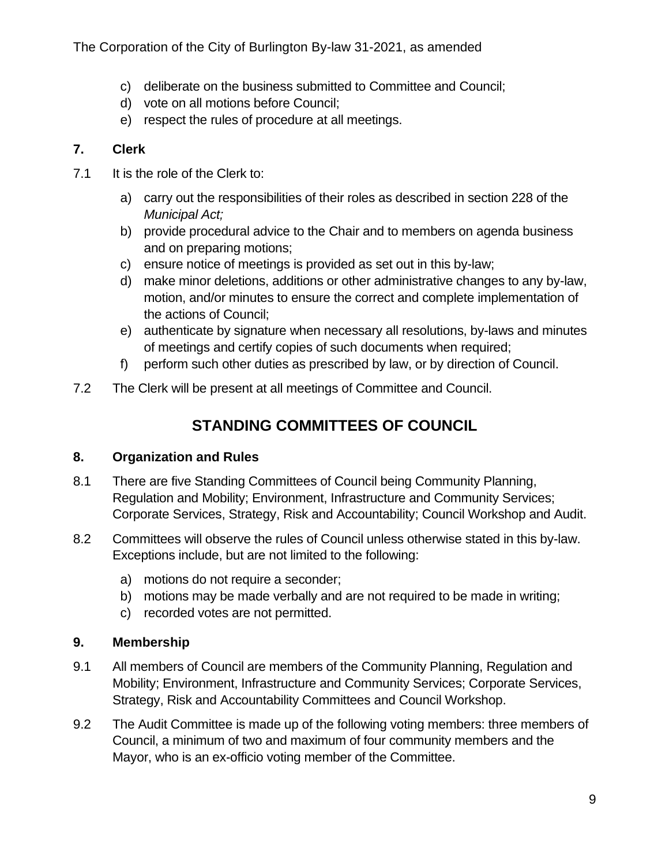- c) deliberate on the business submitted to Committee and Council;
- d) vote on all motions before Council;
- e) respect the rules of procedure at all meetings.

## <span id="page-8-0"></span>**7. Clerk**

- 7.1 It is the role of the Clerk to:
	- a) carry out the responsibilities of their roles as described in section 228 of the *Municipal Act;*
	- b) provide procedural advice to the Chair and to members on agenda business and on preparing motions;
	- c) ensure notice of meetings is provided as set out in this by-law;
	- d) make minor deletions, additions or other administrative changes to any by-law, motion, and/or minutes to ensure the correct and complete implementation of the actions of Council;
	- e) authenticate by signature when necessary all resolutions, by-laws and minutes of meetings and certify copies of such documents when required;
	- f) perform such other duties as prescribed by law, or by direction of Council.
- <span id="page-8-1"></span>7.2 The Clerk will be present at all meetings of Committee and Council.

## **STANDING COMMITTEES OF COUNCIL**

## <span id="page-8-2"></span>**8. Organization and Rules**

- 8.1 There are five Standing Committees of Council being Community Planning, Regulation and Mobility; Environment, Infrastructure and Community Services; Corporate Services, Strategy, Risk and Accountability; Council Workshop and Audit.
- 8.2 Committees will observe the rules of Council unless otherwise stated in this by-law. Exceptions include, but are not limited to the following:
	- a) motions do not require a seconder;
	- b) motions may be made verbally and are not required to be made in writing;
	- c) recorded votes are not permitted.

## <span id="page-8-3"></span>**9. Membership**

- 9.1 All members of Council are members of the Community Planning, Regulation and Mobility; Environment, Infrastructure and Community Services; Corporate Services, Strategy, Risk and Accountability Committees and Council Workshop.
- 9.2 The Audit Committee is made up of the following voting members: three members of Council, a minimum of two and maximum of four community members and the Mayor, who is an ex-officio voting member of the Committee.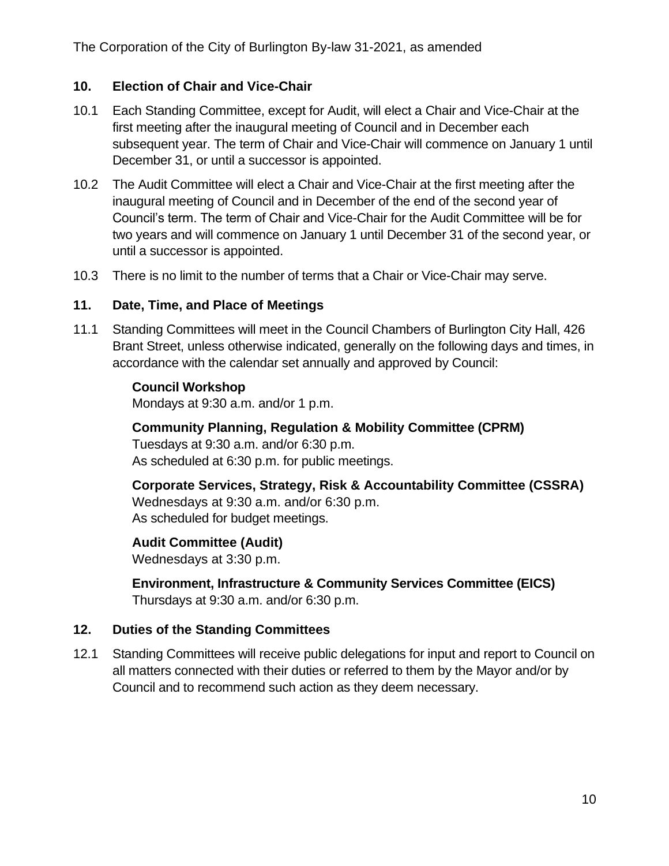#### <span id="page-9-0"></span>**10. Election of Chair and Vice-Chair**

- 10.1 Each Standing Committee, except for Audit, will elect a Chair and Vice-Chair at the first meeting after the inaugural meeting of Council and in December each subsequent year. The term of Chair and Vice-Chair will commence on January 1 until December 31, or until a successor is appointed.
- 10.2 The Audit Committee will elect a Chair and Vice-Chair at the first meeting after the inaugural meeting of Council and in December of the end of the second year of Council's term. The term of Chair and Vice-Chair for the Audit Committee will be for two years and will commence on January 1 until December 31 of the second year, or until a successor is appointed.
- 10.3 There is no limit to the number of terms that a Chair or Vice-Chair may serve.

#### <span id="page-9-1"></span>**11. Date, Time, and Place of Meetings**

11.1 Standing Committees will meet in the Council Chambers of Burlington City Hall, 426 Brant Street, unless otherwise indicated, generally on the following days and times, in accordance with the calendar set annually and approved by Council:

#### **Council Workshop**

Mondays at 9:30 a.m. and/or 1 p.m.

**Community Planning, Regulation & Mobility Committee (CPRM)** Tuesdays at 9:30 a.m. and/or 6:30 p.m. As scheduled at 6:30 p.m. for public meetings.

**Corporate Services, Strategy, Risk & Accountability Committee (CSSRA)** Wednesdays at 9:30 a.m. and/or 6:30 p.m. As scheduled for budget meetings.

#### **Audit Committee (Audit)**

Wednesdays at 3:30 p.m.

**Environment, Infrastructure & Community Services Committee (EICS)** Thursdays at 9:30 a.m. and/or 6:30 p.m.

#### <span id="page-9-2"></span>**12. Duties of the Standing Committees**

12.1 Standing Committees will receive public delegations for input and report to Council on all matters connected with their duties or referred to them by the Mayor and/or by Council and to recommend such action as they deem necessary.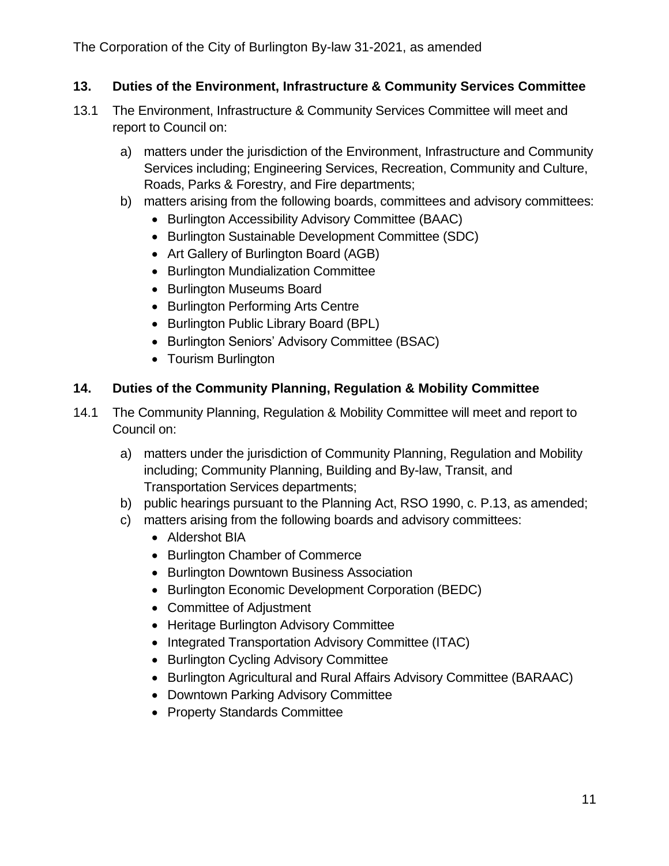The Corporation of the City of Burlington By-law 31-2021, as amended

### <span id="page-10-0"></span>**13. Duties of the Environment, Infrastructure & Community Services Committee**

- 13.1 The Environment, Infrastructure & Community Services Committee will meet and report to Council on:
	- a) matters under the jurisdiction of the Environment, Infrastructure and Community Services including; Engineering Services, Recreation, Community and Culture, Roads, Parks & Forestry, and Fire departments;
	- b) matters arising from the following boards, committees and advisory committees:
		- Burlington Accessibility Advisory Committee (BAAC)
		- Burlington Sustainable Development Committee (SDC)
		- Art Gallery of Burlington Board (AGB)
		- Burlington Mundialization Committee
		- Burlington Museums Board
		- Burlington Performing Arts Centre
		- Burlington Public Library Board (BPL)
		- Burlington Seniors' Advisory Committee (BSAC)
		- Tourism Burlington

### <span id="page-10-1"></span>**14. Duties of the Community Planning, Regulation & Mobility Committee**

- 14.1 The Community Planning, Regulation & Mobility Committee will meet and report to Council on:
	- a) matters under the jurisdiction of Community Planning, Regulation and Mobility including; Community Planning, Building and By-law, Transit, and Transportation Services departments;
	- b) public hearings pursuant to the Planning Act, RSO 1990, c. P.13, as amended;
	- c) matters arising from the following boards and advisory committees:
		- Aldershot BIA
		- Burlington Chamber of Commerce
		- Burlington Downtown Business Association
		- Burlington Economic Development Corporation (BEDC)
		- Committee of Adjustment
		- Heritage Burlington Advisory Committee
		- Integrated Transportation Advisory Committee (ITAC)
		- Burlington Cycling Advisory Committee
		- Burlington Agricultural and Rural Affairs Advisory Committee (BARAAC)
		- Downtown Parking Advisory Committee
		- Property Standards Committee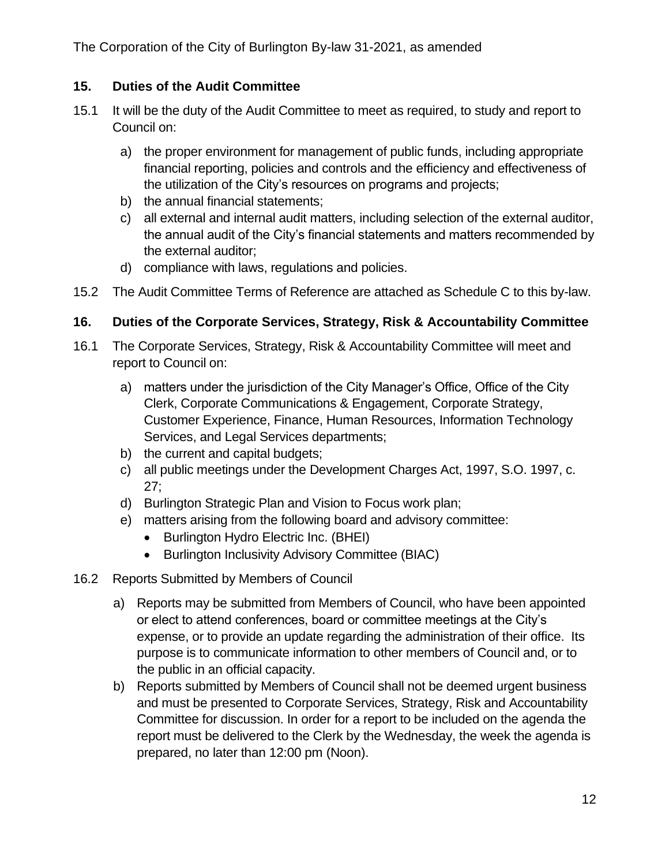The Corporation of the City of Burlington By-law 31-2021, as amended

#### <span id="page-11-0"></span>**15. Duties of the Audit Committee**

- 15.1 It will be the duty of the Audit Committee to meet as required, to study and report to Council on:
	- a) the proper environment for management of public funds, including appropriate financial reporting, policies and controls and the efficiency and effectiveness of the utilization of the City's resources on programs and projects;
	- b) the annual financial statements;
	- c) all external and internal audit matters, including selection of the external auditor, the annual audit of the City's financial statements and matters recommended by the external auditor;
	- d) compliance with laws, regulations and policies.
- 15.2 The Audit Committee Terms of Reference are attached as Schedule C to this by-law.

## <span id="page-11-1"></span>**16. Duties of the Corporate Services, Strategy, Risk & Accountability Committee**

- 16.1 The Corporate Services, Strategy, Risk & Accountability Committee will meet and report to Council on:
	- a) matters under the jurisdiction of the City Manager's Office, Office of the City Clerk, Corporate Communications & Engagement, Corporate Strategy, Customer Experience, Finance, Human Resources, Information Technology Services, and Legal Services departments;
	- b) the current and capital budgets;
	- c) all public meetings under the Development Charges Act, 1997, S.O. 1997, c. 27;
	- d) Burlington Strategic Plan and Vision to Focus work plan;
	- e) matters arising from the following board and advisory committee:
		- Burlington Hydro Electric Inc. (BHEI)
		- Burlington Inclusivity Advisory Committee (BIAC)
- 16.2 Reports Submitted by Members of Council
	- a) Reports may be submitted from Members of Council, who have been appointed or elect to attend conferences, board or committee meetings at the City's expense, or to provide an update regarding the administration of their office. Its purpose is to communicate information to other members of Council and, or to the public in an official capacity.
	- b) Reports submitted by Members of Council shall not be deemed urgent business and must be presented to Corporate Services, Strategy, Risk and Accountability Committee for discussion. In order for a report to be included on the agenda the report must be delivered to the Clerk by the Wednesday, the week the agenda is prepared, no later than 12:00 pm (Noon).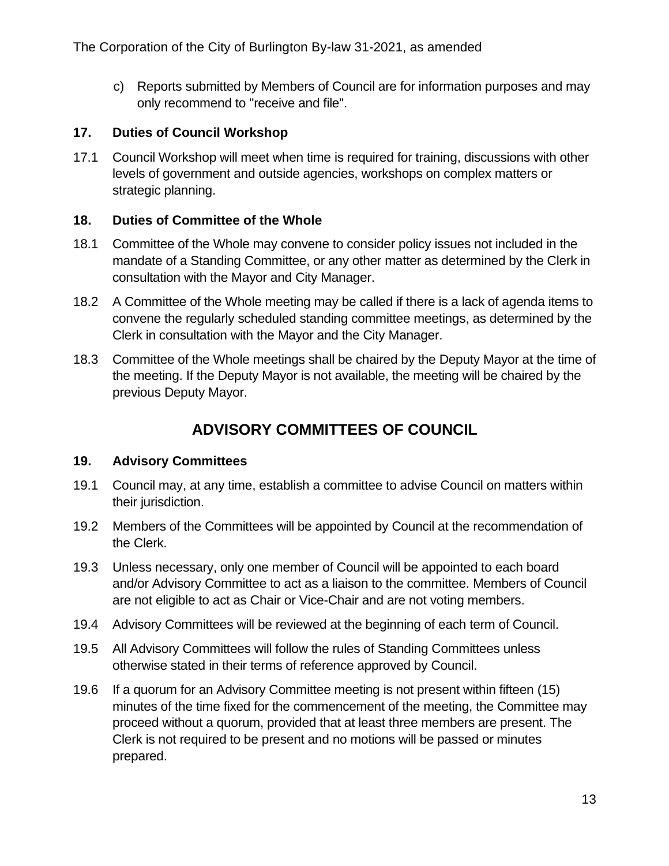c) Reports submitted by Members of Council are for information purposes and may only recommend to "receive and file".

#### <span id="page-12-0"></span>**17. Duties of Council Workshop**

17.1 Council Workshop will meet when time is required for training, discussions with other levels of government and outside agencies, workshops on complex matters or strategic planning.

#### <span id="page-12-1"></span>**18. Duties of Committee of the Whole**

- 18.1 Committee of the Whole may convene to consider policy issues not included in the mandate of a Standing Committee, or any other matter as determined by the Clerk in consultation with the Mayor and City Manager.
- 18.2 A Committee of the Whole meeting may be called if there is a lack of agenda items to convene the regularly scheduled standing committee meetings, as determined by the Clerk in consultation with the Mayor and the City Manager.
- 18.3 Committee of the Whole meetings shall be chaired by the Deputy Mayor at the time of the meeting. If the Deputy Mayor is not available, the meeting will be chaired by the previous Deputy Mayor.

## **ADVISORY COMMITTEES OF COUNCIL**

#### <span id="page-12-3"></span><span id="page-12-2"></span>**19. Advisory Committees**

- 19.1 Council may, at any time, establish a committee to advise Council on matters within their jurisdiction.
- 19.2 Members of the Committees will be appointed by Council at the recommendation of the Clerk.
- 19.3 Unless necessary, only one member of Council will be appointed to each board and/or Advisory Committee to act as a liaison to the committee. Members of Council are not eligible to act as Chair or Vice-Chair and are not voting members.
- 19.4 Advisory Committees will be reviewed at the beginning of each term of Council.
- 19.5 All Advisory Committees will follow the rules of Standing Committees unless otherwise stated in their terms of reference approved by Council.
- 19.6 If a quorum for an Advisory Committee meeting is not present within fifteen (15) minutes of the time fixed for the commencement of the meeting, the Committee may proceed without a quorum, provided that at least three members are present. The Clerk is not required to be present and no motions will be passed or minutes prepared.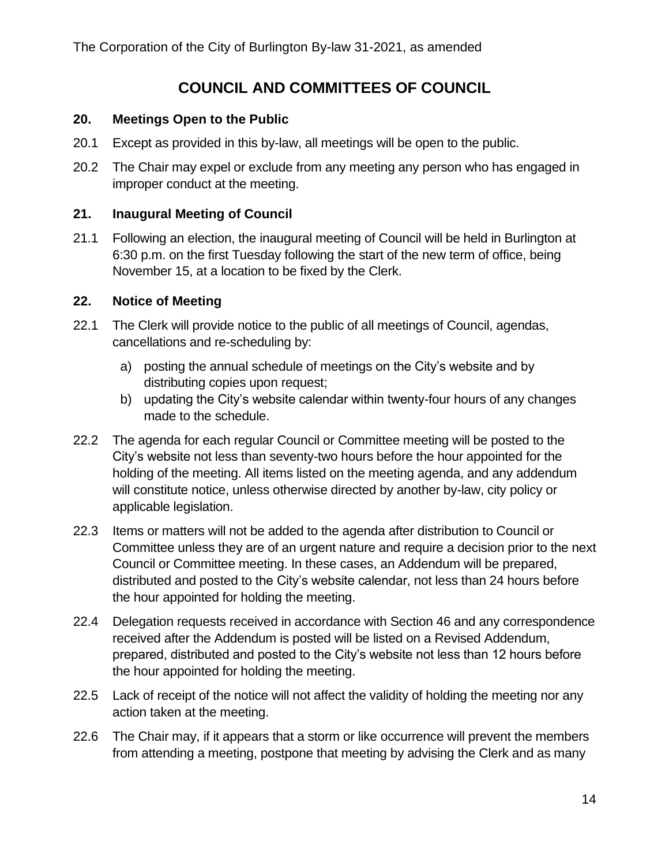## **COUNCIL AND COMMITTEES OF COUNCIL**

#### <span id="page-13-1"></span><span id="page-13-0"></span>**20. Meetings Open to the Public**

- 20.1 Except as provided in this by-law, all meetings will be open to the public.
- 20.2 The Chair may expel or exclude from any meeting any person who has engaged in improper conduct at the meeting.

#### <span id="page-13-2"></span>**21. Inaugural Meeting of Council**

21.1 Following an election, the inaugural meeting of Council will be held in Burlington at 6:30 p.m. on the first Tuesday following the start of the new term of office, being November 15, at a location to be fixed by the Clerk.

#### <span id="page-13-3"></span>**22. Notice of Meeting**

- 22.1 The Clerk will provide notice to the public of all meetings of Council, agendas, cancellations and re-scheduling by:
	- a) posting the annual schedule of meetings on the City's website and by distributing copies upon request;
	- b) updating the City's website calendar within twenty-four hours of any changes made to the schedule.
- 22.2 The agenda for each regular Council or Committee meeting will be posted to the City's website not less than seventy-two hours before the hour appointed for the holding of the meeting. All items listed on the meeting agenda, and any addendum will constitute notice, unless otherwise directed by another by-law, city policy or applicable legislation.
- 22.3 Items or matters will not be added to the agenda after distribution to Council or Committee unless they are of an urgent nature and require a decision prior to the next Council or Committee meeting. In these cases, an Addendum will be prepared, distributed and posted to the City's website calendar, not less than 24 hours before the hour appointed for holding the meeting.
- 22.4 Delegation requests received in accordance with Section 46 and any correspondence received after the Addendum is posted will be listed on a Revised Addendum, prepared, distributed and posted to the City's website not less than 12 hours before the hour appointed for holding the meeting.
- 22.5 Lack of receipt of the notice will not affect the validity of holding the meeting nor any action taken at the meeting.
- 22.6 The Chair may, if it appears that a storm or like occurrence will prevent the members from attending a meeting, postpone that meeting by advising the Clerk and as many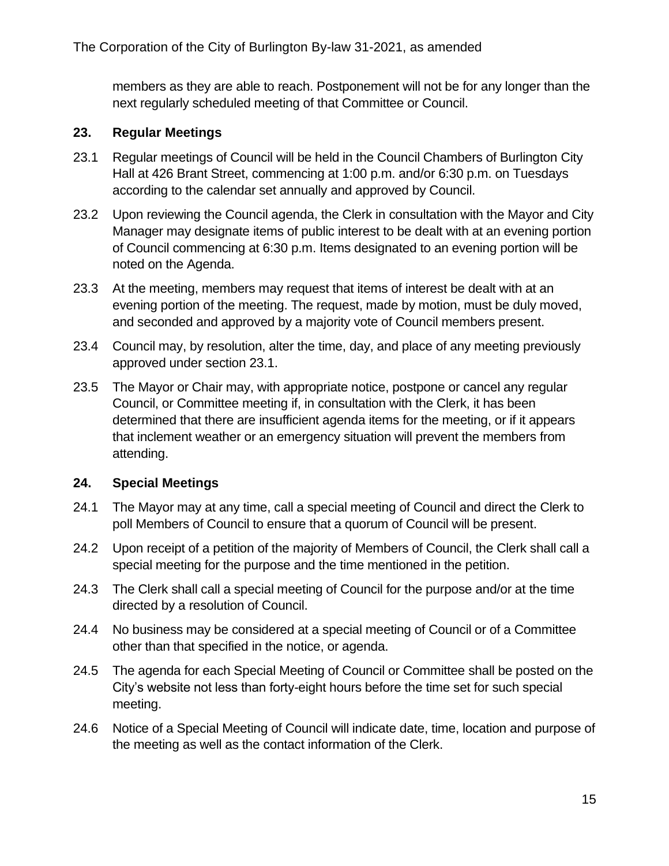members as they are able to reach. Postponement will not be for any longer than the next regularly scheduled meeting of that Committee or Council.

#### <span id="page-14-0"></span>**23. Regular Meetings**

- <span id="page-14-2"></span>23.1 Regular meetings of Council will be held in the Council Chambers of Burlington City Hall at 426 Brant Street, commencing at 1:00 p.m. and/or 6:30 p.m. on Tuesdays according to the calendar set annually and approved by Council.
- 23.2 Upon reviewing the Council agenda, the Clerk in consultation with the Mayor and City Manager may designate items of public interest to be dealt with at an evening portion of Council commencing at 6:30 p.m. Items designated to an evening portion will be noted on the Agenda.
- 23.3 At the meeting, members may request that items of interest be dealt with at an evening portion of the meeting. The request, made by motion, must be duly moved, and seconded and approved by a majority vote of Council members present.
- 23.4 Council may, by resolution, alter the time, day, and place of any meeting previously approved under section [23.1.](#page-14-2)
- 23.5 The Mayor or Chair may, with appropriate notice, postpone or cancel any regular Council, or Committee meeting if, in consultation with the Clerk, it has been determined that there are insufficient agenda items for the meeting, or if it appears that inclement weather or an emergency situation will prevent the members from attending.

#### <span id="page-14-1"></span>**24. Special Meetings**

- 24.1 The Mayor may at any time, call a special meeting of Council and direct the Clerk to poll Members of Council to ensure that a quorum of Council will be present.
- 24.2 Upon receipt of a petition of the majority of Members of Council, the Clerk shall call a special meeting for the purpose and the time mentioned in the petition.
- 24.3 The Clerk shall call a special meeting of Council for the purpose and/or at the time directed by a resolution of Council.
- 24.4 No business may be considered at a special meeting of Council or of a Committee other than that specified in the notice, or agenda.
- 24.5 The agenda for each Special Meeting of Council or Committee shall be posted on the City's website not less than forty-eight hours before the time set for such special meeting.
- 24.6 Notice of a Special Meeting of Council will indicate date, time, location and purpose of the meeting as well as the contact information of the Clerk.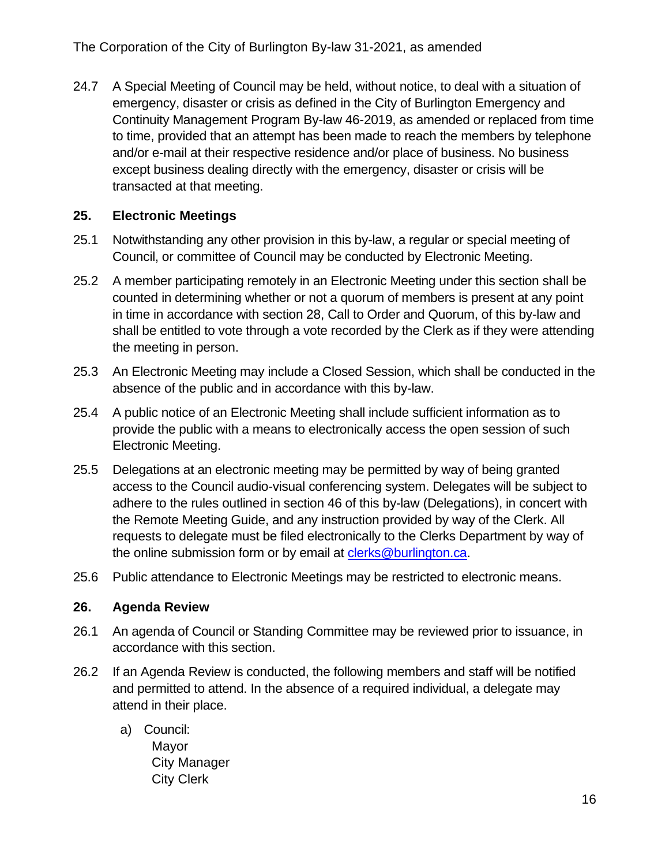24.7 A Special Meeting of Council may be held, without notice, to deal with a situation of emergency, disaster or crisis as defined in the City of Burlington Emergency and Continuity Management Program By-law 46-2019, as amended or replaced from time to time, provided that an attempt has been made to reach the members by telephone and/or e-mail at their respective residence and/or place of business. No business except business dealing directly with the emergency, disaster or crisis will be transacted at that meeting.

### <span id="page-15-0"></span>**25. Electronic Meetings**

- 25.1 Notwithstanding any other provision in this by-law, a regular or special meeting of Council, or committee of Council may be conducted by Electronic Meeting.
- 25.2 A member participating remotely in an Electronic Meeting under this section shall be counted in determining whether or not a quorum of members is present at any point in time in accordance with section 28, Call to Order and Quorum, of this by-law and shall be entitled to vote through a vote recorded by the Clerk as if they were attending the meeting in person.
- 25.3 An Electronic Meeting may include a Closed Session, which shall be conducted in the absence of the public and in accordance with this by-law.
- 25.4 A public notice of an Electronic Meeting shall include sufficient information as to provide the public with a means to electronically access the open session of such Electronic Meeting.
- 25.5 Delegations at an electronic meeting may be permitted by way of being granted access to the Council audio-visual conferencing system. Delegates will be subject to adhere to the rules outlined in section 46 of this by-law (Delegations), in concert with the Remote Meeting Guide, and any instruction provided by way of the Clerk. All requests to delegate must be filed electronically to the Clerks Department by way of the online submission form or by email at [clerks@burlington.ca.](mailto:clerks@burlington.ca)
- 25.6 Public attendance to Electronic Meetings may be restricted to electronic means.

#### <span id="page-15-1"></span>**26. Agenda Review**

- 26.1 An agenda of Council or Standing Committee may be reviewed prior to issuance, in accordance with this section.
- 26.2 If an Agenda Review is conducted, the following members and staff will be notified and permitted to attend. In the absence of a required individual, a delegate may attend in their place.
	- a) Council: Mayor City Manager City Clerk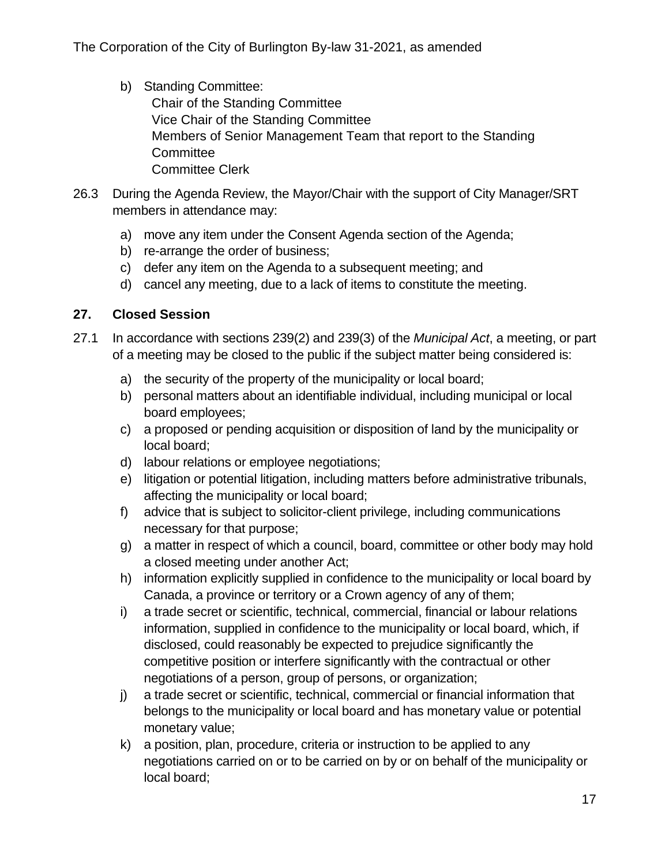- b) Standing Committee: Chair of the Standing Committee Vice Chair of the Standing Committee Members of Senior Management Team that report to the Standing **Committee** Committee Clerk
- 26.3 During the Agenda Review, the Mayor/Chair with the support of City Manager/SRT members in attendance may:
	- a) move any item under the Consent Agenda section of the Agenda;
	- b) re-arrange the order of business;
	- c) defer any item on the Agenda to a subsequent meeting; and
	- d) cancel any meeting, due to a lack of items to constitute the meeting.

#### <span id="page-16-0"></span>**27. Closed Session**

- <span id="page-16-1"></span>27.1 In accordance with sections 239(2) and 239(3) of the *Municipal Act*, a meeting, or part of a meeting may be closed to the public if the subject matter being considered is:
	- a) the security of the property of the municipality or local board;
	- b) personal matters about an identifiable individual, including municipal or local board employees;
	- c) a proposed or pending acquisition or disposition of land by the municipality or local board;
	- d) labour relations or employee negotiations;
	- e) litigation or potential litigation, including matters before administrative tribunals, affecting the municipality or local board;
	- f) advice that is subject to solicitor-client privilege, including communications necessary for that purpose;
	- g) a matter in respect of which a council, board, committee or other body may hold a closed meeting under another Act;
	- h) information explicitly supplied in confidence to the municipality or local board by Canada, a province or territory or a Crown agency of any of them;
	- i) a trade secret or scientific, technical, commercial, financial or labour relations information, supplied in confidence to the municipality or local board, which, if disclosed, could reasonably be expected to prejudice significantly the competitive position or interfere significantly with the contractual or other negotiations of a person, group of persons, or organization;
	- j) a trade secret or scientific, technical, commercial or financial information that belongs to the municipality or local board and has monetary value or potential monetary value;
	- k) a position, plan, procedure, criteria or instruction to be applied to any negotiations carried on or to be carried on by or on behalf of the municipality or local board;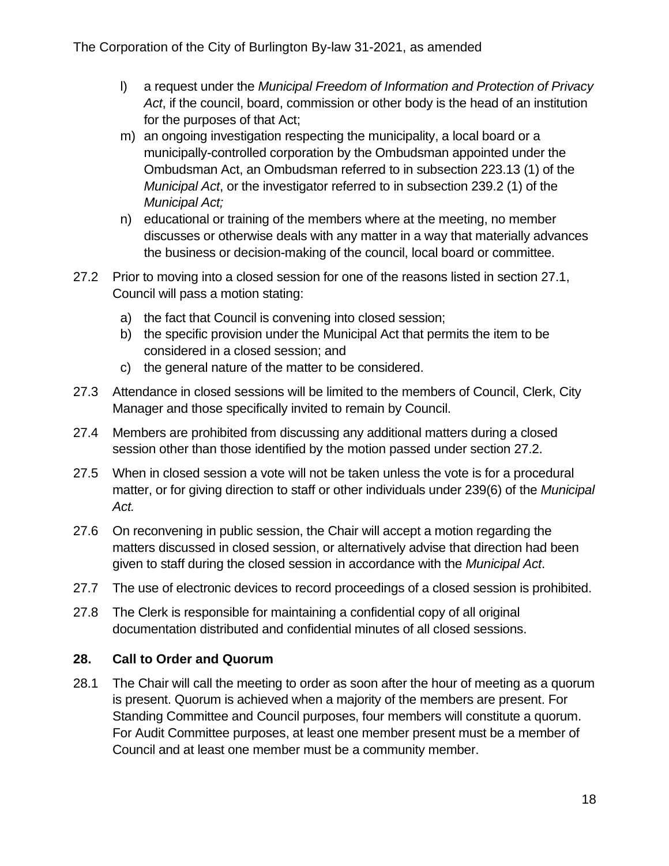- l) a request under the *Municipal Freedom of Information and Protection of Privacy Act*, if the council, board, commission or other body is the head of an institution for the purposes of that Act;
- m) an ongoing investigation respecting the municipality, a local board or a municipally-controlled corporation by the Ombudsman appointed under the Ombudsman Act, an Ombudsman referred to in subsection 223.13 (1) of the *Municipal Act*, or the investigator referred to in subsection 239.2 (1) of the *Municipal Act;*
- n) educational or training of the members where at the meeting, no member discusses or otherwise deals with any matter in a way that materially advances the business or decision-making of the council, local board or committee.
- <span id="page-17-1"></span>27.2 Prior to moving into a closed session for one of the reasons listed in section [27.1,](#page-16-1) Council will pass a motion stating:
	- a) the fact that Council is convening into closed session;
	- b) the specific provision under the Municipal Act that permits the item to be considered in a closed session; and
	- c) the general nature of the matter to be considered.
- 27.3 Attendance in closed sessions will be limited to the members of Council, Clerk, City Manager and those specifically invited to remain by Council.
- 27.4 Members are prohibited from discussing any additional matters during a closed session other than those identified by the motion passed under section [27.2.](#page-17-1)
- 27.5 When in closed session a vote will not be taken unless the vote is for a procedural matter, or for giving direction to staff or other individuals under 239(6) of the *Municipal Act.*
- 27.6 On reconvening in public session, the Chair will accept a motion regarding the matters discussed in closed session, or alternatively advise that direction had been given to staff during the closed session in accordance with the *Municipal Act*.
- 27.7 The use of electronic devices to record proceedings of a closed session is prohibited.
- 27.8 The Clerk is responsible for maintaining a confidential copy of all original documentation distributed and confidential minutes of all closed sessions.

## <span id="page-17-0"></span>**28. Call to Order and Quorum**

28.1 The Chair will call the meeting to order as soon after the hour of meeting as a quorum is present. Quorum is achieved when a majority of the members are present. For Standing Committee and Council purposes, four members will constitute a quorum. For Audit Committee purposes, at least one member present must be a member of Council and at least one member must be a community member.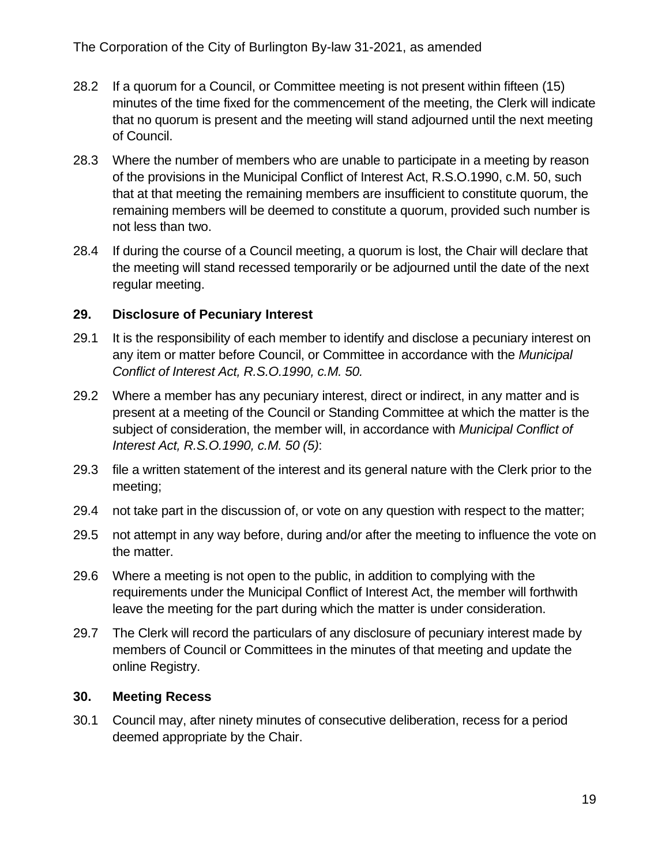- 28.2 If a quorum for a Council, or Committee meeting is not present within fifteen (15) minutes of the time fixed for the commencement of the meeting, the Clerk will indicate that no quorum is present and the meeting will stand adjourned until the next meeting of Council.
- 28.3 Where the number of members who are unable to participate in a meeting by reason of the provisions in the Municipal Conflict of Interest Act, R.S.O.1990, c.M. 50, such that at that meeting the remaining members are insufficient to constitute quorum, the remaining members will be deemed to constitute a quorum, provided such number is not less than two.
- 28.4 If during the course of a Council meeting, a quorum is lost, the Chair will declare that the meeting will stand recessed temporarily or be adjourned until the date of the next regular meeting.

#### <span id="page-18-0"></span>**29. Disclosure of Pecuniary Interest**

- 29.1 It is the responsibility of each member to identify and disclose a pecuniary interest on any item or matter before Council, or Committee in accordance with the *Municipal Conflict of Interest Act, R.S.O.1990, c.M. 50.*
- 29.2 Where a member has any pecuniary interest, direct or indirect, in any matter and is present at a meeting of the Council or Standing Committee at which the matter is the subject of consideration, the member will, in accordance with *Municipal Conflict of Interest Act, R.S.O.1990, c.M. 50 (5)*:
- 29.3 file a written statement of the interest and its general nature with the Clerk prior to the meeting;
- 29.4 not take part in the discussion of, or vote on any question with respect to the matter;
- 29.5 not attempt in any way before, during and/or after the meeting to influence the vote on the matter.
- 29.6 Where a meeting is not open to the public, in addition to complying with the requirements under the Municipal Conflict of Interest Act, the member will forthwith leave the meeting for the part during which the matter is under consideration.
- 29.7 The Clerk will record the particulars of any disclosure of pecuniary interest made by members of Council or Committees in the minutes of that meeting and update the online Registry.

#### <span id="page-18-1"></span>**30. Meeting Recess**

30.1 Council may, after ninety minutes of consecutive deliberation, recess for a period deemed appropriate by the Chair.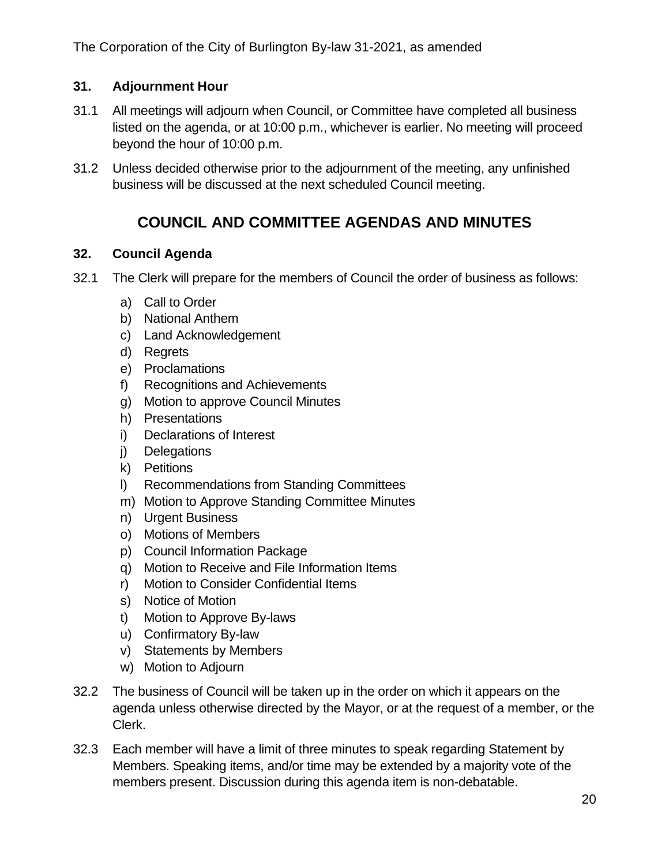### <span id="page-19-0"></span>**31. Adjournment Hour**

- 31.1 All meetings will adjourn when Council, or Committee have completed all business listed on the agenda, or at 10:00 p.m., whichever is earlier. No meeting will proceed beyond the hour of 10:00 p.m.
- <span id="page-19-1"></span>31.2 Unless decided otherwise prior to the adjournment of the meeting, any unfinished business will be discussed at the next scheduled Council meeting.

## **COUNCIL AND COMMITTEE AGENDAS AND MINUTES**

#### <span id="page-19-2"></span>**32. Council Agenda**

- 32.1 The Clerk will prepare for the members of Council the order of business as follows:
	- a) Call to Order
	- b) National Anthem
	- c) Land Acknowledgement
	- d) Regrets
	- e) Proclamations
	- f) Recognitions and Achievements
	- g) Motion to approve Council Minutes
	- h) Presentations
	- i) Declarations of Interest
	- j) Delegations
	- k) Petitions
	- l) Recommendations from Standing Committees
	- m) Motion to Approve Standing Committee Minutes
	- n) Urgent Business
	- o) Motions of Members
	- p) Council Information Package
	- q) Motion to Receive and File Information Items
	- r) Motion to Consider Confidential Items
	- s) Notice of Motion
	- t) Motion to Approve By-laws
	- u) Confirmatory By-law
	- v) Statements by Members
	- w) Motion to Adjourn
- 32.2 The business of Council will be taken up in the order on which it appears on the agenda unless otherwise directed by the Mayor, or at the request of a member, or the Clerk.
- 32.3 Each member will have a limit of three minutes to speak regarding Statement by Members. Speaking items, and/or time may be extended by a majority vote of the members present. Discussion during this agenda item is non-debatable.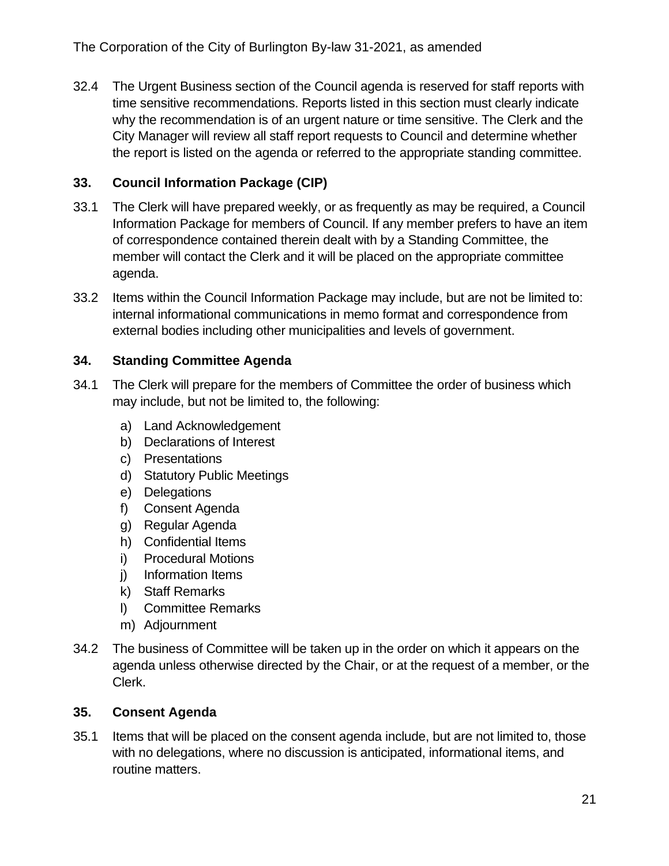32.4 The Urgent Business section of the Council agenda is reserved for staff reports with time sensitive recommendations. Reports listed in this section must clearly indicate why the recommendation is of an urgent nature or time sensitive. The Clerk and the City Manager will review all staff report requests to Council and determine whether the report is listed on the agenda or referred to the appropriate standing committee.

## <span id="page-20-0"></span>**33. Council Information Package (CIP)**

- 33.1 The Clerk will have prepared weekly, or as frequently as may be required, a Council Information Package for members of Council. If any member prefers to have an item of correspondence contained therein dealt with by a Standing Committee, the member will contact the Clerk and it will be placed on the appropriate committee agenda.
- 33.2 Items within the Council Information Package may include, but are not be limited to: internal informational communications in memo format and correspondence from external bodies including other municipalities and levels of government.

### <span id="page-20-1"></span>**34. Standing Committee Agenda**

- 34.1 The Clerk will prepare for the members of Committee the order of business which may include, but not be limited to, the following:
	- a) Land Acknowledgement
	- b) Declarations of Interest
	- c) Presentations
	- d) Statutory Public Meetings
	- e) Delegations
	- f) Consent Agenda
	- g) Regular Agenda
	- h) Confidential Items
	- i) Procedural Motions
	- j) Information Items
	- k) Staff Remarks
	- l) Committee Remarks
	- m) Adjournment
- 34.2 The business of Committee will be taken up in the order on which it appears on the agenda unless otherwise directed by the Chair, or at the request of a member, or the Clerk.

#### <span id="page-20-2"></span>**35. Consent Agenda**

35.1 Items that will be placed on the consent agenda include, but are not limited to, those with no delegations, where no discussion is anticipated, informational items, and routine matters.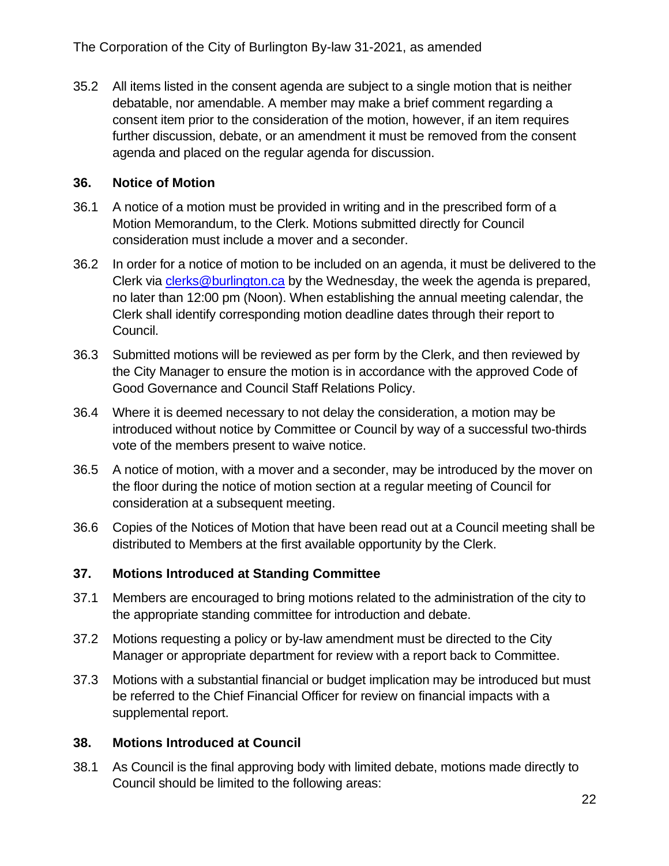35.2 All items listed in the consent agenda are subject to a single motion that is neither debatable, nor amendable. A member may make a brief comment regarding a consent item prior to the consideration of the motion, however, if an item requires further discussion, debate, or an amendment it must be removed from the consent agenda and placed on the regular agenda for discussion.

#### <span id="page-21-0"></span>**36. Notice of Motion**

- 36.1 A notice of a motion must be provided in writing and in the prescribed form of a Motion Memorandum, to the Clerk. Motions submitted directly for Council consideration must include a mover and a seconder.
- 36.2 In order for a notice of motion to be included on an agenda, it must be delivered to the Clerk via [clerks@burlington.ca](mailto:clerks@burlington.ca) by the Wednesday, the week the agenda is prepared, no later than 12:00 pm (Noon). When establishing the annual meeting calendar, the Clerk shall identify corresponding motion deadline dates through their report to Council.
- 36.3 Submitted motions will be reviewed as per form by the Clerk, and then reviewed by the City Manager to ensure the motion is in accordance with the approved Code of Good Governance and Council Staff Relations Policy.
- 36.4 Where it is deemed necessary to not delay the consideration, a motion may be introduced without notice by Committee or Council by way of a successful two-thirds vote of the members present to waive notice.
- 36.5 A notice of motion, with a mover and a seconder, may be introduced by the mover on the floor during the notice of motion section at a regular meeting of Council for consideration at a subsequent meeting.
- 36.6 Copies of the Notices of Motion that have been read out at a Council meeting shall be distributed to Members at the first available opportunity by the Clerk.

## <span id="page-21-1"></span>**37. Motions Introduced at Standing Committee**

- 37.1 Members are encouraged to bring motions related to the administration of the city to the appropriate standing committee for introduction and debate.
- 37.2 Motions requesting a policy or by-law amendment must be directed to the City Manager or appropriate department for review with a report back to Committee.
- 37.3 Motions with a substantial financial or budget implication may be introduced but must be referred to the Chief Financial Officer for review on financial impacts with a supplemental report.

## <span id="page-21-2"></span>**38. Motions Introduced at Council**

38.1 As Council is the final approving body with limited debate, motions made directly to Council should be limited to the following areas: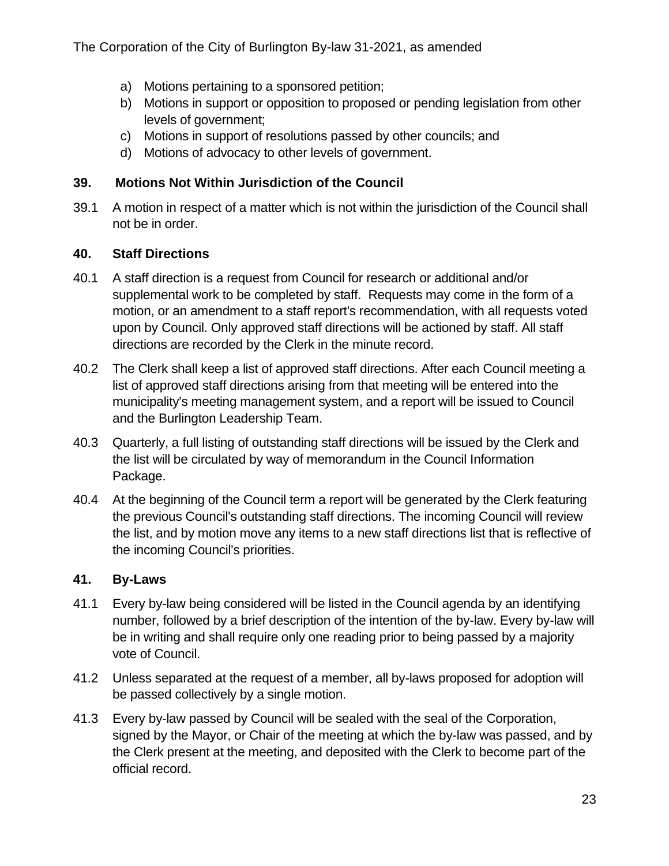- a) Motions pertaining to a sponsored petition;
- b) Motions in support or opposition to proposed or pending legislation from other levels of government;
- c) Motions in support of resolutions passed by other councils; and
- <span id="page-22-0"></span>d) Motions of advocacy to other levels of government.

#### **39. Motions Not Within Jurisdiction of the Council**

39.1 A motion in respect of a matter which is not within the jurisdiction of the Council shall not be in order.

#### <span id="page-22-1"></span>**40. Staff Directions**

- 40.1 A staff direction is a request from Council for research or additional and/or supplemental work to be completed by staff. Requests may come in the form of a motion, or an amendment to a staff report's recommendation, with all requests voted upon by Council. Only approved staff directions will be actioned by staff. All staff directions are recorded by the Clerk in the minute record.
- 40.2 The Clerk shall keep a list of approved staff directions. After each Council meeting a list of approved staff directions arising from that meeting will be entered into the municipality's meeting management system, and a report will be issued to Council and the Burlington Leadership Team.
- 40.3 Quarterly, a full listing of outstanding staff directions will be issued by the Clerk and the list will be circulated by way of memorandum in the Council Information Package.
- 40.4 At the beginning of the Council term a report will be generated by the Clerk featuring the previous Council's outstanding staff directions. The incoming Council will review the list, and by motion move any items to a new staff directions list that is reflective of the incoming Council's priorities.

## <span id="page-22-2"></span>**41. By-Laws**

- 41.1 Every by-law being considered will be listed in the Council agenda by an identifying number, followed by a brief description of the intention of the by-law. Every by-law will be in writing and shall require only one reading prior to being passed by a majority vote of Council.
- 41.2 Unless separated at the request of a member, all by-laws proposed for adoption will be passed collectively by a single motion.
- 41.3 Every by-law passed by Council will be sealed with the seal of the Corporation, signed by the Mayor, or Chair of the meeting at which the by-law was passed, and by the Clerk present at the meeting, and deposited with the Clerk to become part of the official record.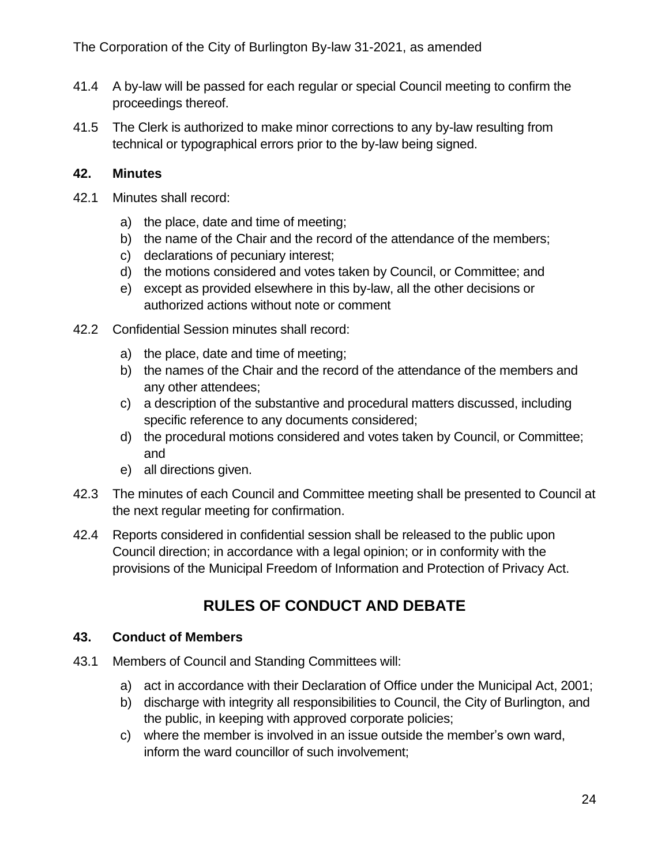- 41.4 A by-law will be passed for each regular or special Council meeting to confirm the proceedings thereof.
- 41.5 The Clerk is authorized to make minor corrections to any by-law resulting from technical or typographical errors prior to the by-law being signed.

### <span id="page-23-0"></span>**42. Minutes**

- 42.1 Minutes shall record:
	- a) the place, date and time of meeting;
	- b) the name of the Chair and the record of the attendance of the members;
	- c) declarations of pecuniary interest;
	- d) the motions considered and votes taken by Council, or Committee; and
	- e) except as provided elsewhere in this by-law, all the other decisions or authorized actions without note or comment
- 42.2 Confidential Session minutes shall record:
	- a) the place, date and time of meeting;
	- b) the names of the Chair and the record of the attendance of the members and any other attendees;
	- c) a description of the substantive and procedural matters discussed, including specific reference to any documents considered;
	- d) the procedural motions considered and votes taken by Council, or Committee; and
	- e) all directions given.
- 42.3 The minutes of each Council and Committee meeting shall be presented to Council at the next regular meeting for confirmation.
- 42.4 Reports considered in confidential session shall be released to the public upon Council direction; in accordance with a legal opinion; or in conformity with the provisions of the Municipal Freedom of Information and Protection of Privacy Act.

## **RULES OF CONDUCT AND DEBATE**

#### <span id="page-23-2"></span><span id="page-23-1"></span>**43. Conduct of Members**

- 43.1 Members of Council and Standing Committees will:
	- a) act in accordance with their Declaration of Office under the Municipal Act, 2001;
	- b) discharge with integrity all responsibilities to Council, the City of Burlington, and the public, in keeping with approved corporate policies;
	- c) where the member is involved in an issue outside the member's own ward, inform the ward councillor of such involvement;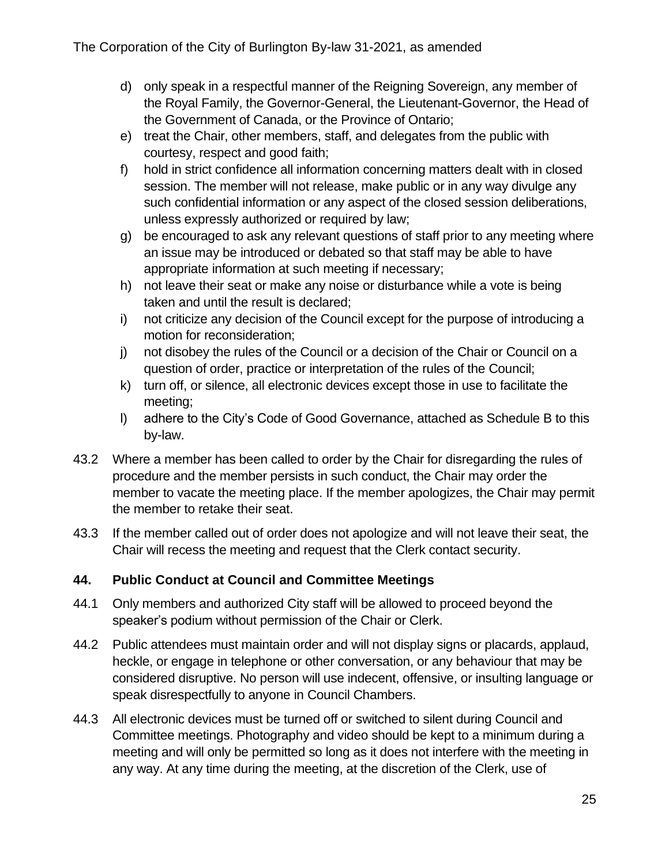- d) only speak in a respectful manner of the Reigning Sovereign, any member of the Royal Family, the Governor-General, the Lieutenant-Governor, the Head of the Government of Canada, or the Province of Ontario;
- e) treat the Chair, other members, staff, and delegates from the public with courtesy, respect and good faith;
- f) hold in strict confidence all information concerning matters dealt with in closed session. The member will not release, make public or in any way divulge any such confidential information or any aspect of the closed session deliberations, unless expressly authorized or required by law;
- g) be encouraged to ask any relevant questions of staff prior to any meeting where an issue may be introduced or debated so that staff may be able to have appropriate information at such meeting if necessary;
- h) not leave their seat or make any noise or disturbance while a vote is being taken and until the result is declared;
- i) not criticize any decision of the Council except for the purpose of introducing a motion for reconsideration;
- j) not disobey the rules of the Council or a decision of the Chair or Council on a question of order, practice or interpretation of the rules of the Council;
- k) turn off, or silence, all electronic devices except those in use to facilitate the meeting;
- l) adhere to the City's Code of Good Governance, attached as Schedule B to this by-law.
- 43.2 Where a member has been called to order by the Chair for disregarding the rules of procedure and the member persists in such conduct, the Chair may order the member to vacate the meeting place. If the member apologizes, the Chair may permit the member to retake their seat.
- 43.3 If the member called out of order does not apologize and will not leave their seat, the Chair will recess the meeting and request that the Clerk contact security.

## <span id="page-24-0"></span>**44. Public Conduct at Council and Committee Meetings**

- 44.1 Only members and authorized City staff will be allowed to proceed beyond the speaker's podium without permission of the Chair or Clerk.
- 44.2 Public attendees must maintain order and will not display signs or placards, applaud, heckle, or engage in telephone or other conversation, or any behaviour that may be considered disruptive. No person will use indecent, offensive, or insulting language or speak disrespectfully to anyone in Council Chambers.
- 44.3 All electronic devices must be turned off or switched to silent during Council and Committee meetings. Photography and video should be kept to a minimum during a meeting and will only be permitted so long as it does not interfere with the meeting in any way. At any time during the meeting, at the discretion of the Clerk, use of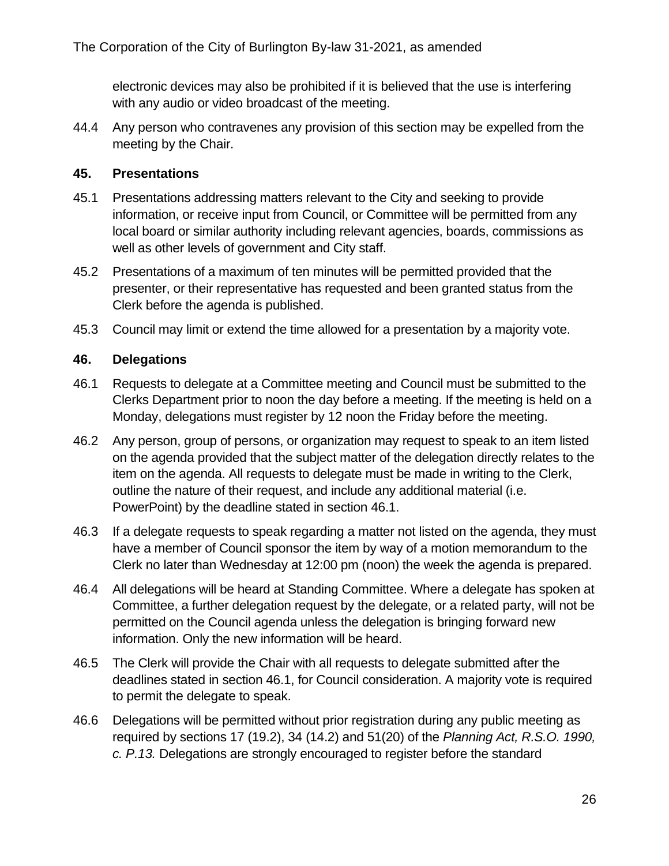electronic devices may also be prohibited if it is believed that the use is interfering with any audio or video broadcast of the meeting.

44.4 Any person who contravenes any provision of this section may be expelled from the meeting by the Chair.

#### <span id="page-25-0"></span>**45. Presentations**

- 45.1 Presentations addressing matters relevant to the City and seeking to provide information, or receive input from Council, or Committee will be permitted from any local board or similar authority including relevant agencies, boards, commissions as well as other levels of government and City staff.
- 45.2 Presentations of a maximum of ten minutes will be permitted provided that the presenter, or their representative has requested and been granted status from the Clerk before the agenda is published.
- 45.3 Council may limit or extend the time allowed for a presentation by a majority vote.

#### <span id="page-25-1"></span>**46. Delegations**

- <span id="page-25-2"></span>46.1 Requests to delegate at a Committee meeting and Council must be submitted to the Clerks Department prior to noon the day before a meeting. If the meeting is held on a Monday, delegations must register by 12 noon the Friday before the meeting.
- 46.2 Any person, group of persons, or organization may request to speak to an item listed on the agenda provided that the subject matter of the delegation directly relates to the item on the agenda. All requests to delegate must be made in writing to the Clerk, outline the nature of their request, and include any additional material (i.e. PowerPoint) by the deadline stated in section [46.1.](#page-25-2)
- 46.3 If a delegate requests to speak regarding a matter not listed on the agenda, they must have a member of Council sponsor the item by way of a motion memorandum to the Clerk no later than Wednesday at 12:00 pm (noon) the week the agenda is prepared.
- 46.4 All delegations will be heard at Standing Committee. Where a delegate has spoken at Committee, a further delegation request by the delegate, or a related party, will not be permitted on the Council agenda unless the delegation is bringing forward new information. Only the new information will be heard.
- 46.5 The Clerk will provide the Chair with all requests to delegate submitted after the deadlines stated in section [46.1,](#page-25-2) for Council consideration. A majority vote is required to permit the delegate to speak.
- 46.6 Delegations will be permitted without prior registration during any public meeting as required by sections 17 (19.2), 34 (14.2) and 51(20) of the *Planning Act, R.S.O. 1990, c. P.13.* Delegations are strongly encouraged to register before the standard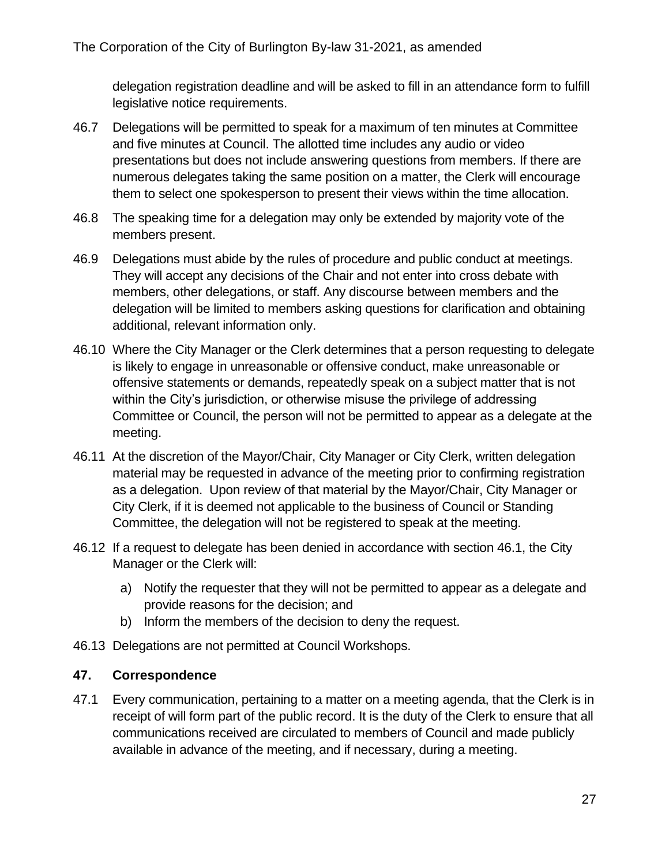delegation registration deadline and will be asked to fill in an attendance form to fulfill legislative notice requirements.

- 46.7 Delegations will be permitted to speak for a maximum of ten minutes at Committee and five minutes at Council. The allotted time includes any audio or video presentations but does not include answering questions from members. If there are numerous delegates taking the same position on a matter, the Clerk will encourage them to select one spokesperson to present their views within the time allocation.
- 46.8 The speaking time for a delegation may only be extended by majority vote of the members present.
- 46.9 Delegations must abide by the rules of procedure and public conduct at meetings. They will accept any decisions of the Chair and not enter into cross debate with members, other delegations, or staff. Any discourse between members and the delegation will be limited to members asking questions for clarification and obtaining additional, relevant information only.
- 46.10 Where the City Manager or the Clerk determines that a person requesting to delegate is likely to engage in unreasonable or offensive conduct, make unreasonable or offensive statements or demands, repeatedly speak on a subject matter that is not within the City's jurisdiction, or otherwise misuse the privilege of addressing Committee or Council, the person will not be permitted to appear as a delegate at the meeting.
- 46.11 At the discretion of the Mayor/Chair, City Manager or City Clerk, written delegation material may be requested in advance of the meeting prior to confirming registration as a delegation. Upon review of that material by the Mayor/Chair, City Manager or City Clerk, if it is deemed not applicable to the business of Council or Standing Committee, the delegation will not be registered to speak at the meeting.
- 46.12 If a request to delegate has been denied in accordance with section 46.1, the City Manager or the Clerk will:
	- a) Notify the requester that they will not be permitted to appear as a delegate and provide reasons for the decision; and
	- b) Inform the members of the decision to deny the request.
- 46.13 Delegations are not permitted at Council Workshops.

#### <span id="page-26-0"></span>**47. Correspondence**

47.1 Every communication, pertaining to a matter on a meeting agenda, that the Clerk is in receipt of will form part of the public record. It is the duty of the Clerk to ensure that all communications received are circulated to members of Council and made publicly available in advance of the meeting, and if necessary, during a meeting.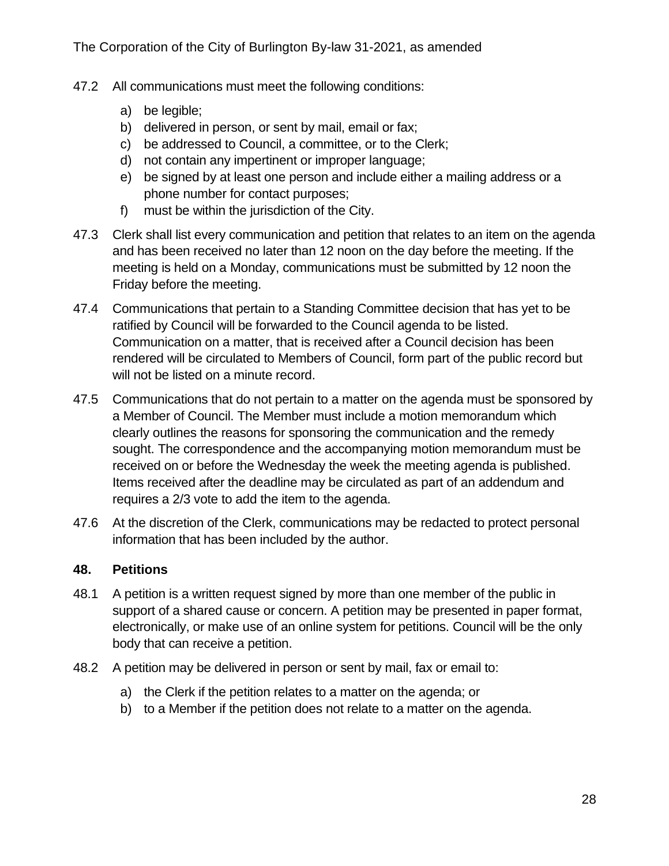- 47.2 All communications must meet the following conditions:
	- a) be legible;
	- b) delivered in person, or sent by mail, email or fax;
	- c) be addressed to Council, a committee, or to the Clerk;
	- d) not contain any impertinent or improper language;
	- e) be signed by at least one person and include either a mailing address or a phone number for contact purposes;
	- f) must be within the jurisdiction of the City.
- 47.3 Clerk shall list every communication and petition that relates to an item on the agenda and has been received no later than 12 noon on the day before the meeting. If the meeting is held on a Monday, communications must be submitted by 12 noon the Friday before the meeting.
- 47.4 Communications that pertain to a Standing Committee decision that has yet to be ratified by Council will be forwarded to the Council agenda to be listed. Communication on a matter, that is received after a Council decision has been rendered will be circulated to Members of Council, form part of the public record but will not be listed on a minute record.
- 47.5 Communications that do not pertain to a matter on the agenda must be sponsored by a Member of Council. The Member must include a motion memorandum which clearly outlines the reasons for sponsoring the communication and the remedy sought. The correspondence and the accompanying motion memorandum must be received on or before the Wednesday the week the meeting agenda is published. Items received after the deadline may be circulated as part of an addendum and requires a 2/3 vote to add the item to the agenda.
- 47.6 At the discretion of the Clerk, communications may be redacted to protect personal information that has been included by the author.

#### <span id="page-27-0"></span>**48. Petitions**

- 48.1 A petition is a written request signed by more than one member of the public in support of a shared cause or concern. A petition may be presented in paper format, electronically, or make use of an online system for petitions. Council will be the only body that can receive a petition.
- 48.2 A petition may be delivered in person or sent by mail, fax or email to:
	- a) the Clerk if the petition relates to a matter on the agenda; or
	- b) to a Member if the petition does not relate to a matter on the agenda.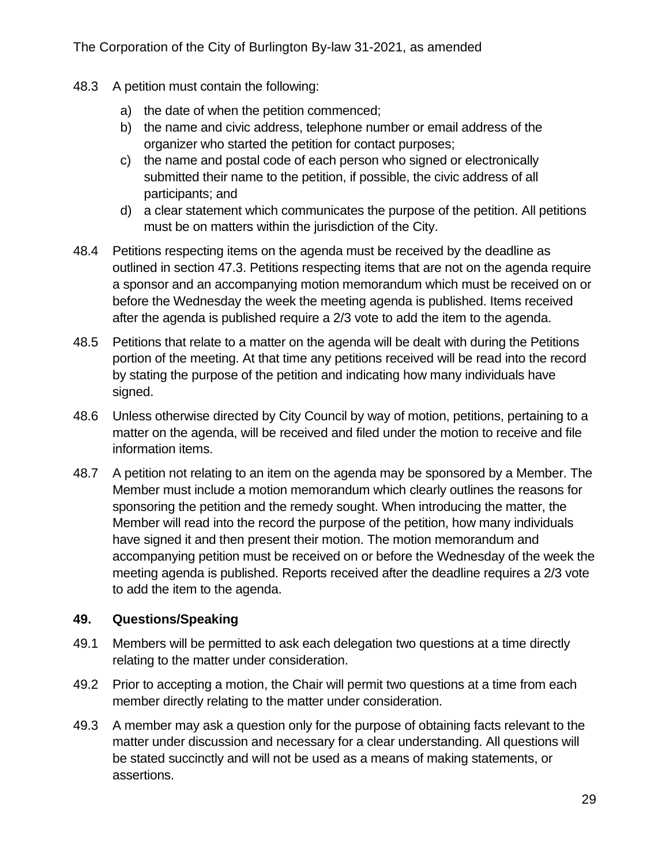- 48.3 A petition must contain the following:
	- a) the date of when the petition commenced;
	- b) the name and civic address, telephone number or email address of the organizer who started the petition for contact purposes;
	- c) the name and postal code of each person who signed or electronically submitted their name to the petition, if possible, the civic address of all participants; and
	- d) a clear statement which communicates the purpose of the petition. All petitions must be on matters within the jurisdiction of the City.
- 48.4 Petitions respecting items on the agenda must be received by the deadline as outlined in section 47.3. Petitions respecting items that are not on the agenda require a sponsor and an accompanying motion memorandum which must be received on or before the Wednesday the week the meeting agenda is published. Items received after the agenda is published require a 2/3 vote to add the item to the agenda.
- 48.5 Petitions that relate to a matter on the agenda will be dealt with during the Petitions portion of the meeting. At that time any petitions received will be read into the record by stating the purpose of the petition and indicating how many individuals have signed.
- 48.6 Unless otherwise directed by City Council by way of motion, petitions, pertaining to a matter on the agenda, will be received and filed under the motion to receive and file information items.
- 48.7 A petition not relating to an item on the agenda may be sponsored by a Member. The Member must include a motion memorandum which clearly outlines the reasons for sponsoring the petition and the remedy sought. When introducing the matter, the Member will read into the record the purpose of the petition, how many individuals have signed it and then present their motion. The motion memorandum and accompanying petition must be received on or before the Wednesday of the week the meeting agenda is published. Reports received after the deadline requires a 2/3 vote to add the item to the agenda.

#### <span id="page-28-0"></span>**49. Questions/Speaking**

- 49.1 Members will be permitted to ask each delegation two questions at a time directly relating to the matter under consideration.
- 49.2 Prior to accepting a motion, the Chair will permit two questions at a time from each member directly relating to the matter under consideration.
- 49.3 A member may ask a question only for the purpose of obtaining facts relevant to the matter under discussion and necessary for a clear understanding. All questions will be stated succinctly and will not be used as a means of making statements, or assertions.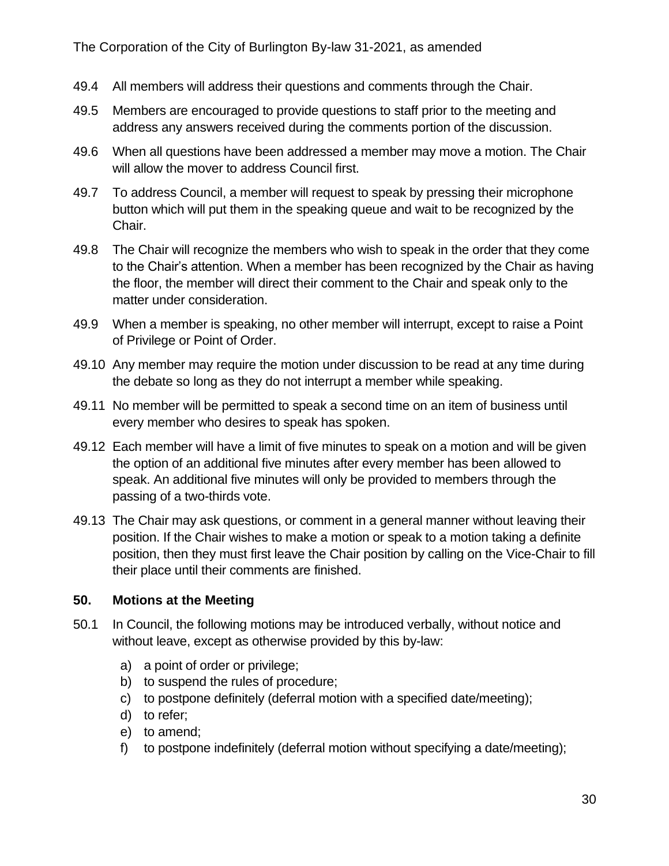- 49.4 All members will address their questions and comments through the Chair.
- 49.5 Members are encouraged to provide questions to staff prior to the meeting and address any answers received during the comments portion of the discussion.
- 49.6 When all questions have been addressed a member may move a motion. The Chair will allow the mover to address Council first.
- 49.7 To address Council, a member will request to speak by pressing their microphone button which will put them in the speaking queue and wait to be recognized by the Chair.
- 49.8 The Chair will recognize the members who wish to speak in the order that they come to the Chair's attention. When a member has been recognized by the Chair as having the floor, the member will direct their comment to the Chair and speak only to the matter under consideration.
- 49.9 When a member is speaking, no other member will interrupt, except to raise a Point of Privilege or Point of Order.
- 49.10 Any member may require the motion under discussion to be read at any time during the debate so long as they do not interrupt a member while speaking.
- 49.11 No member will be permitted to speak a second time on an item of business until every member who desires to speak has spoken.
- 49.12 Each member will have a limit of five minutes to speak on a motion and will be given the option of an additional five minutes after every member has been allowed to speak. An additional five minutes will only be provided to members through the passing of a two-thirds vote.
- 49.13 The Chair may ask questions, or comment in a general manner without leaving their position. If the Chair wishes to make a motion or speak to a motion taking a definite position, then they must first leave the Chair position by calling on the Vice-Chair to fill their place until their comments are finished.

#### <span id="page-29-0"></span>**50. Motions at the Meeting**

- 50.1 In Council, the following motions may be introduced verbally, without notice and without leave, except as otherwise provided by this by-law:
	- a) a point of order or privilege;
	- b) to suspend the rules of procedure;
	- c) to postpone definitely (deferral motion with a specified date/meeting);
	- d) to refer;
	- e) to amend;
	- f) to postpone indefinitely (deferral motion without specifying a date/meeting);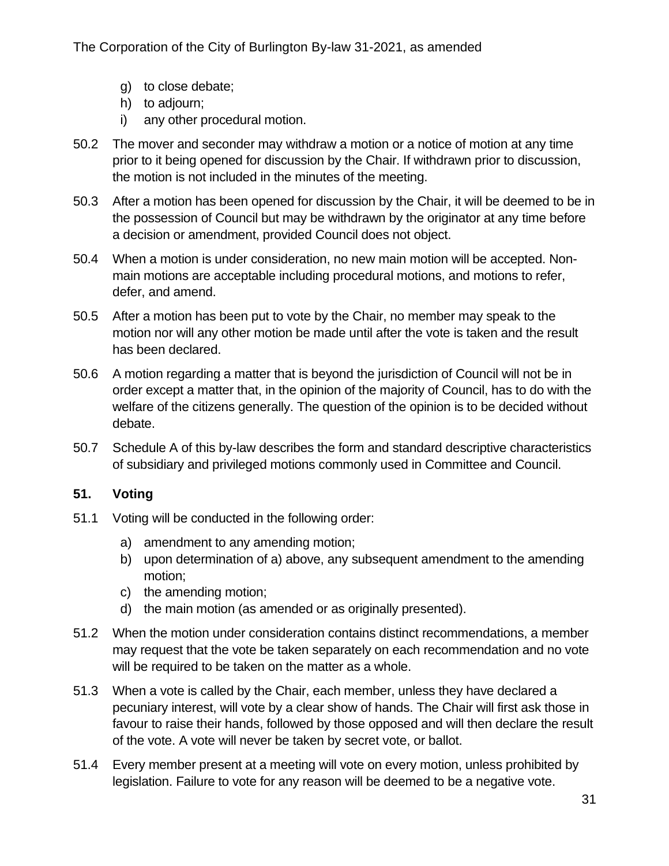- g) to close debate;
- h) to adjourn;
- i) any other procedural motion.
- 50.2 The mover and seconder may withdraw a motion or a notice of motion at any time prior to it being opened for discussion by the Chair. If withdrawn prior to discussion, the motion is not included in the minutes of the meeting.
- 50.3 After a motion has been opened for discussion by the Chair, it will be deemed to be in the possession of Council but may be withdrawn by the originator at any time before a decision or amendment, provided Council does not object.
- 50.4 When a motion is under consideration, no new main motion will be accepted. Nonmain motions are acceptable including procedural motions, and motions to refer, defer, and amend.
- 50.5 After a motion has been put to vote by the Chair, no member may speak to the motion nor will any other motion be made until after the vote is taken and the result has been declared.
- 50.6 A motion regarding a matter that is beyond the jurisdiction of Council will not be in order except a matter that, in the opinion of the majority of Council, has to do with the welfare of the citizens generally. The question of the opinion is to be decided without debate.
- 50.7 Schedule A of this by-law describes the form and standard descriptive characteristics of subsidiary and privileged motions commonly used in Committee and Council.

#### <span id="page-30-0"></span>**51. Voting**

- 51.1 Voting will be conducted in the following order:
	- a) amendment to any amending motion;
	- b) upon determination of a) above, any subsequent amendment to the amending motion;
	- c) the amending motion;
	- d) the main motion (as amended or as originally presented).
- 51.2 When the motion under consideration contains distinct recommendations, a member may request that the vote be taken separately on each recommendation and no vote will be required to be taken on the matter as a whole.
- 51.3 When a vote is called by the Chair, each member, unless they have declared a pecuniary interest, will vote by a clear show of hands. The Chair will first ask those in favour to raise their hands, followed by those opposed and will then declare the result of the vote. A vote will never be taken by secret vote, or ballot.
- 51.4 Every member present at a meeting will vote on every motion, unless prohibited by legislation. Failure to vote for any reason will be deemed to be a negative vote.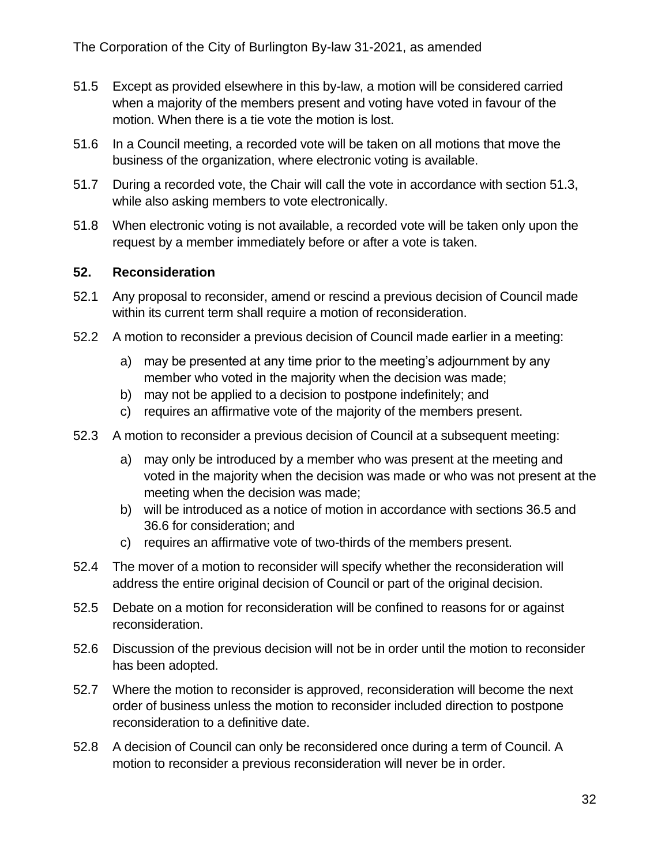- 51.5 Except as provided elsewhere in this by-law, a motion will be considered carried when a majority of the members present and voting have voted in favour of the motion. When there is a tie vote the motion is lost.
- 51.6 In a Council meeting, a recorded vote will be taken on all motions that move the business of the organization, where electronic voting is available.
- 51.7 During a recorded vote, the Chair will call the vote in accordance with section 51.3, while also asking members to vote electronically.
- 51.8 When electronic voting is not available, a recorded vote will be taken only upon the request by a member immediately before or after a vote is taken.

#### <span id="page-31-0"></span>**52. Reconsideration**

- 52.1 Any proposal to reconsider, amend or rescind a previous decision of Council made within its current term shall require a motion of reconsideration.
- 52.2 A motion to reconsider a previous decision of Council made earlier in a meeting:
	- a) may be presented at any time prior to the meeting's adjournment by any member who voted in the majority when the decision was made;
	- b) may not be applied to a decision to postpone indefinitely; and
	- c) requires an affirmative vote of the majority of the members present.
- 52.3 A motion to reconsider a previous decision of Council at a subsequent meeting:
	- a) may only be introduced by a member who was present at the meeting and voted in the majority when the decision was made or who was not present at the meeting when the decision was made;
	- b) will be introduced as a notice of motion in accordance with sections 36.5 and 36.6 for consideration; and
	- c) requires an affirmative vote of two-thirds of the members present.
- 52.4 The mover of a motion to reconsider will specify whether the reconsideration will address the entire original decision of Council or part of the original decision.
- 52.5 Debate on a motion for reconsideration will be confined to reasons for or against reconsideration.
- 52.6 Discussion of the previous decision will not be in order until the motion to reconsider has been adopted.
- 52.7 Where the motion to reconsider is approved, reconsideration will become the next order of business unless the motion to reconsider included direction to postpone reconsideration to a definitive date.
- 52.8 A decision of Council can only be reconsidered once during a term of Council. A motion to reconsider a previous reconsideration will never be in order.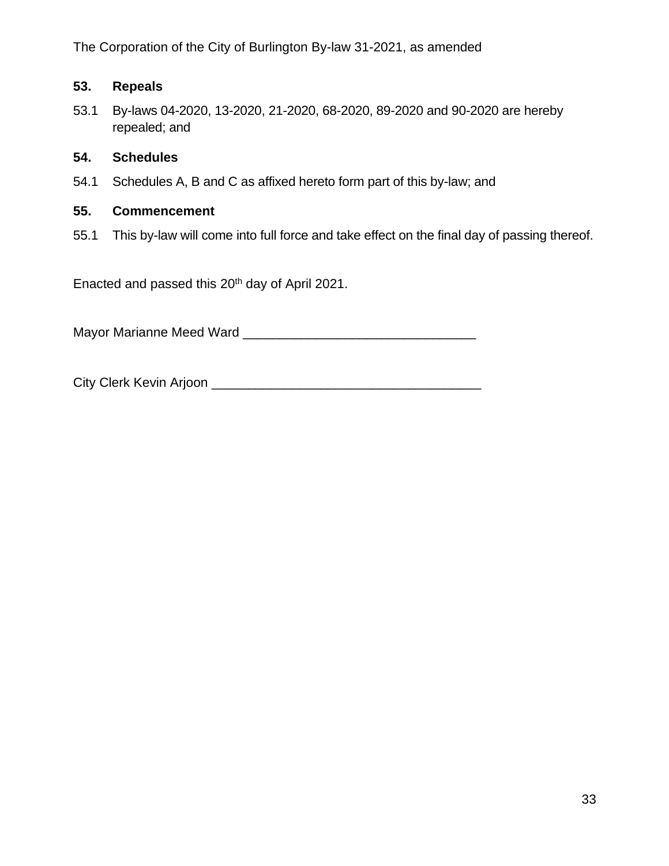The Corporation of the City of Burlington By-law 31-2021, as amended

## <span id="page-32-0"></span>**53. Repeals**

53.1 By-laws 04-2020, 13-2020, 21-2020, 68-2020, 89-2020 and 90-2020 are hereby repealed; and

#### <span id="page-32-1"></span>**54. Schedules**

54.1 Schedules A, B and C as affixed hereto form part of this by-law; and

#### <span id="page-32-2"></span>**55. Commencement**

55.1 This by-law will come into full force and take effect on the final day of passing thereof.

Enacted and passed this 20<sup>th</sup> day of April 2021.

Mayor Marianne Meed Ward \_\_\_\_\_\_\_\_\_\_\_\_\_\_\_\_\_\_\_\_\_\_\_\_\_\_\_\_\_\_\_\_

City Clerk Kevin Arjoon \_\_\_\_\_\_\_\_\_\_\_\_\_\_\_\_\_\_\_\_\_\_\_\_\_\_\_\_\_\_\_\_\_\_\_\_\_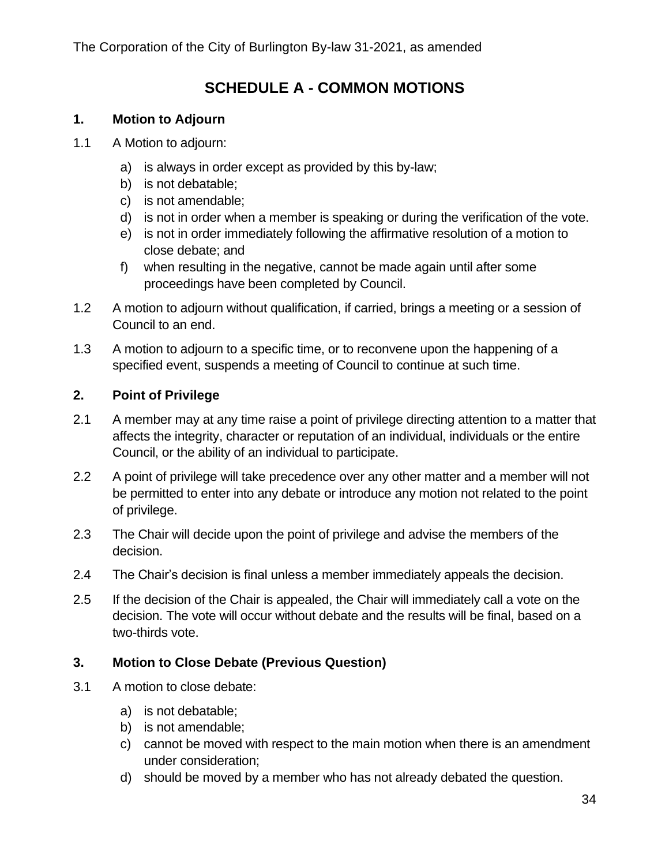## **SCHEDULE A - COMMON MOTIONS**

#### <span id="page-33-1"></span><span id="page-33-0"></span>**1. Motion to Adjourn**

- 1.1 A Motion to adjourn:
	- a) is always in order except as provided by this by-law;
	- b) is not debatable;
	- c) is not amendable;
	- d) is not in order when a member is speaking or during the verification of the vote.
	- e) is not in order immediately following the affirmative resolution of a motion to close debate; and
	- f) when resulting in the negative, cannot be made again until after some proceedings have been completed by Council.
- 1.2 A motion to adjourn without qualification, if carried, brings a meeting or a session of Council to an end.
- 1.3 A motion to adjourn to a specific time, or to reconvene upon the happening of a specified event, suspends a meeting of Council to continue at such time.

#### <span id="page-33-2"></span>**2. Point of Privilege**

- 2.1 A member may at any time raise a point of privilege directing attention to a matter that affects the integrity, character or reputation of an individual, individuals or the entire Council, or the ability of an individual to participate.
- 2.2 A point of privilege will take precedence over any other matter and a member will not be permitted to enter into any debate or introduce any motion not related to the point of privilege.
- 2.3 The Chair will decide upon the point of privilege and advise the members of the decision.
- 2.4 The Chair's decision is final unless a member immediately appeals the decision.
- 2.5 If the decision of the Chair is appealed, the Chair will immediately call a vote on the decision. The vote will occur without debate and the results will be final, based on a two-thirds vote.

#### <span id="page-33-3"></span>**3. Motion to Close Debate (Previous Question)**

- 3.1 A motion to close debate:
	- a) is not debatable;
	- b) is not amendable;
	- c) cannot be moved with respect to the main motion when there is an amendment under consideration;
	- d) should be moved by a member who has not already debated the question.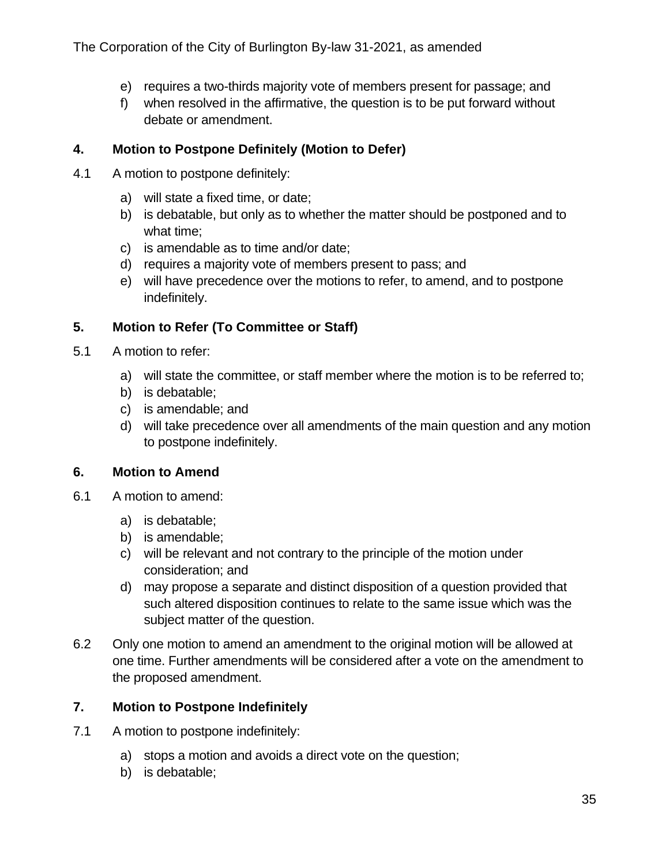- e) requires a two-thirds majority vote of members present for passage; and
- f) when resolved in the affirmative, the question is to be put forward without debate or amendment.

## <span id="page-34-0"></span>**4. Motion to Postpone Definitely (Motion to Defer)**

- 4.1 A motion to postpone definitely:
	- a) will state a fixed time, or date;
	- b) is debatable, but only as to whether the matter should be postponed and to what time;
	- c) is amendable as to time and/or date;
	- d) requires a majority vote of members present to pass; and
	- e) will have precedence over the motions to refer, to amend, and to postpone indefinitely.

## <span id="page-34-1"></span>**5. Motion to Refer (To Committee or Staff)**

- 5.1 A motion to refer:
	- a) will state the committee, or staff member where the motion is to be referred to;
	- b) is debatable;
	- c) is amendable; and
	- d) will take precedence over all amendments of the main question and any motion to postpone indefinitely.

## <span id="page-34-2"></span>**6. Motion to Amend**

- 6.1 A motion to amend:
	- a) is debatable;
	- b) is amendable;
	- c) will be relevant and not contrary to the principle of the motion under consideration; and
	- d) may propose a separate and distinct disposition of a question provided that such altered disposition continues to relate to the same issue which was the subject matter of the question.
- 6.2 Only one motion to amend an amendment to the original motion will be allowed at one time. Further amendments will be considered after a vote on the amendment to the proposed amendment.

## <span id="page-34-3"></span>**7. Motion to Postpone Indefinitely**

- 7.1 A motion to postpone indefinitely:
	- a) stops a motion and avoids a direct vote on the question;
	- b) is debatable;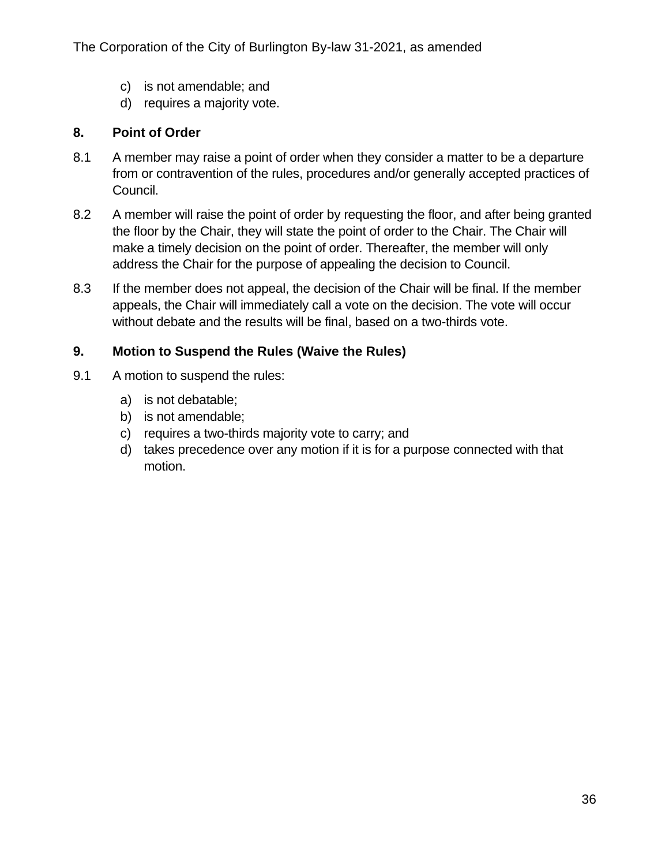- c) is not amendable; and
- d) requires a majority vote.

#### <span id="page-35-0"></span>**8. Point of Order**

- 8.1 A member may raise a point of order when they consider a matter to be a departure from or contravention of the rules, procedures and/or generally accepted practices of Council.
- 8.2 A member will raise the point of order by requesting the floor, and after being granted the floor by the Chair, they will state the point of order to the Chair. The Chair will make a timely decision on the point of order. Thereafter, the member will only address the Chair for the purpose of appealing the decision to Council.
- 8.3 If the member does not appeal, the decision of the Chair will be final. If the member appeals, the Chair will immediately call a vote on the decision. The vote will occur without debate and the results will be final, based on a two-thirds vote.

#### <span id="page-35-1"></span>**9. Motion to Suspend the Rules (Waive the Rules)**

- 9.1 A motion to suspend the rules:
	- a) is not debatable;
	- b) is not amendable;
	- c) requires a two-thirds majority vote to carry; and
	- d) takes precedence over any motion if it is for a purpose connected with that motion.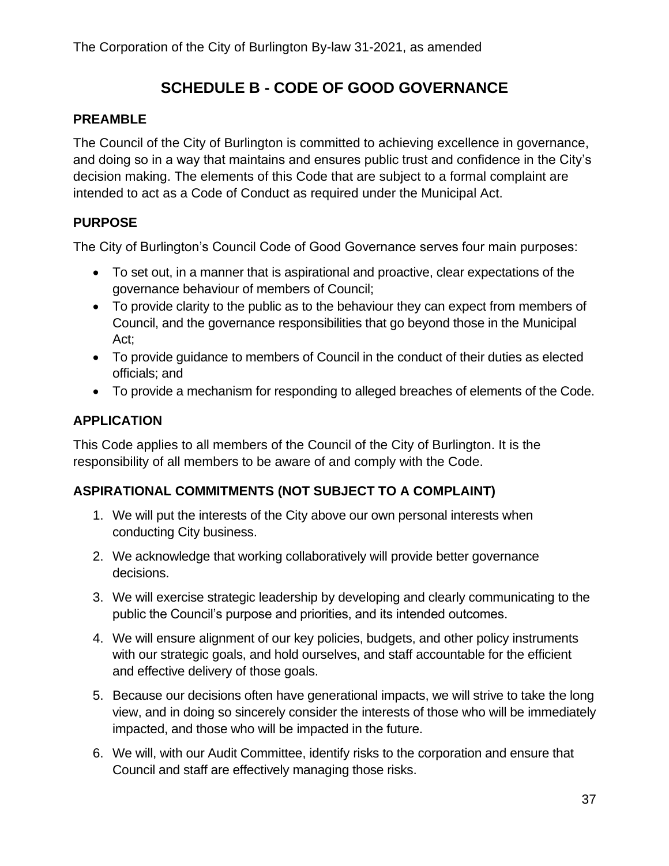## **SCHEDULE B - CODE OF GOOD GOVERNANCE**

#### <span id="page-36-0"></span>**PREAMBLE**

The Council of the City of Burlington is committed to achieving excellence in governance, and doing so in a way that maintains and ensures public trust and confidence in the City's decision making. The elements of this Code that are subject to a formal complaint are intended to act as a Code of Conduct as required under the Municipal Act.

## **PURPOSE**

The City of Burlington's Council Code of Good Governance serves four main purposes:

- To set out, in a manner that is aspirational and proactive, clear expectations of the governance behaviour of members of Council;
- To provide clarity to the public as to the behaviour they can expect from members of Council, and the governance responsibilities that go beyond those in the Municipal Act;
- To provide guidance to members of Council in the conduct of their duties as elected officials; and
- To provide a mechanism for responding to alleged breaches of elements of the Code.

## **APPLICATION**

This Code applies to all members of the Council of the City of Burlington. It is the responsibility of all members to be aware of and comply with the Code.

## **ASPIRATIONAL COMMITMENTS (NOT SUBJECT TO A COMPLAINT)**

- 1. We will put the interests of the City above our own personal interests when conducting City business.
- 2. We acknowledge that working collaboratively will provide better governance decisions.
- 3. We will exercise strategic leadership by developing and clearly communicating to the public the Council's purpose and priorities, and its intended outcomes.
- 4. We will ensure alignment of our key policies, budgets, and other policy instruments with our strategic goals, and hold ourselves, and staff accountable for the efficient and effective delivery of those goals.
- 5. Because our decisions often have generational impacts, we will strive to take the long view, and in doing so sincerely consider the interests of those who will be immediately impacted, and those who will be impacted in the future.
- 6. We will, with our Audit Committee, identify risks to the corporation and ensure that Council and staff are effectively managing those risks.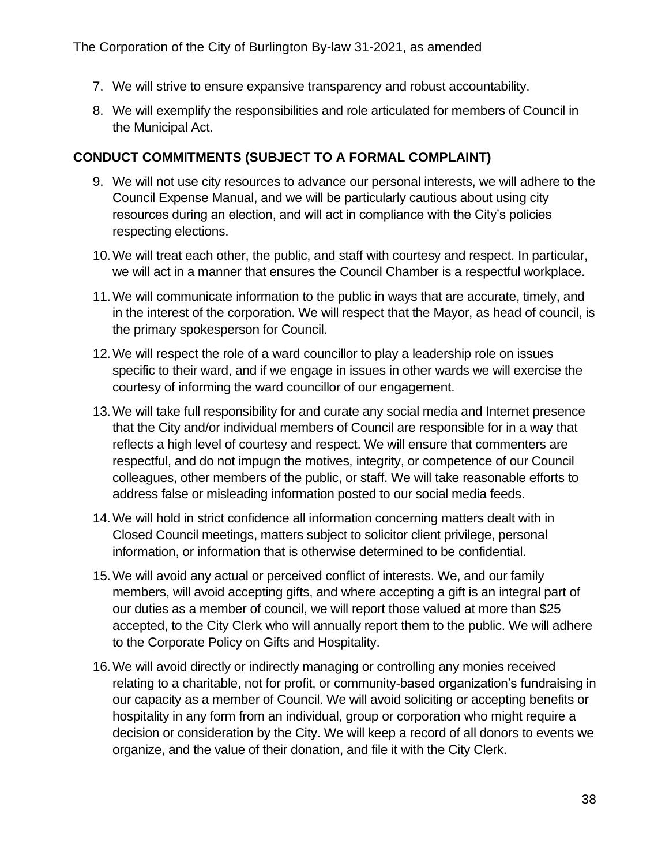- 7. We will strive to ensure expansive transparency and robust accountability.
- 8. We will exemplify the responsibilities and role articulated for members of Council in the Municipal Act.

### **CONDUCT COMMITMENTS (SUBJECT TO A FORMAL COMPLAINT)**

- 9. We will not use city resources to advance our personal interests, we will adhere to the Council Expense Manual, and we will be particularly cautious about using city resources during an election, and will act in compliance with the City's policies respecting elections.
- 10.We will treat each other, the public, and staff with courtesy and respect. In particular, we will act in a manner that ensures the Council Chamber is a respectful workplace.
- 11.We will communicate information to the public in ways that are accurate, timely, and in the interest of the corporation. We will respect that the Mayor, as head of council, is the primary spokesperson for Council.
- 12.We will respect the role of a ward councillor to play a leadership role on issues specific to their ward, and if we engage in issues in other wards we will exercise the courtesy of informing the ward councillor of our engagement.
- 13.We will take full responsibility for and curate any social media and Internet presence that the City and/or individual members of Council are responsible for in a way that reflects a high level of courtesy and respect. We will ensure that commenters are respectful, and do not impugn the motives, integrity, or competence of our Council colleagues, other members of the public, or staff. We will take reasonable efforts to address false or misleading information posted to our social media feeds.
- 14.We will hold in strict confidence all information concerning matters dealt with in Closed Council meetings, matters subject to solicitor client privilege, personal information, or information that is otherwise determined to be confidential.
- 15.We will avoid any actual or perceived conflict of interests. We, and our family members, will avoid accepting gifts, and where accepting a gift is an integral part of our duties as a member of council, we will report those valued at more than \$25 accepted, to the City Clerk who will annually report them to the public. We will adhere to the Corporate Policy on Gifts and Hospitality.
- 16.We will avoid directly or indirectly managing or controlling any monies received relating to a charitable, not for profit, or community-based organization's fundraising in our capacity as a member of Council. We will avoid soliciting or accepting benefits or hospitality in any form from an individual, group or corporation who might require a decision or consideration by the City. We will keep a record of all donors to events we organize, and the value of their donation, and file it with the City Clerk.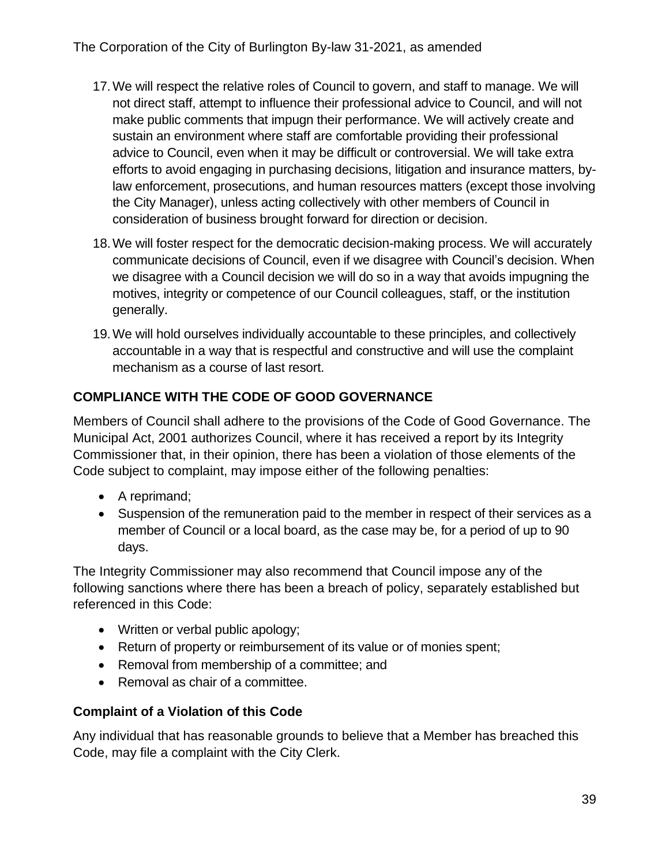- 17.We will respect the relative roles of Council to govern, and staff to manage. We will not direct staff, attempt to influence their professional advice to Council, and will not make public comments that impugn their performance. We will actively create and sustain an environment where staff are comfortable providing their professional advice to Council, even when it may be difficult or controversial. We will take extra efforts to avoid engaging in purchasing decisions, litigation and insurance matters, bylaw enforcement, prosecutions, and human resources matters (except those involving the City Manager), unless acting collectively with other members of Council in consideration of business brought forward for direction or decision.
- 18.We will foster respect for the democratic decision-making process. We will accurately communicate decisions of Council, even if we disagree with Council's decision. When we disagree with a Council decision we will do so in a way that avoids impugning the motives, integrity or competence of our Council colleagues, staff, or the institution generally.
- 19.We will hold ourselves individually accountable to these principles, and collectively accountable in a way that is respectful and constructive and will use the complaint mechanism as a course of last resort.

## **COMPLIANCE WITH THE CODE OF GOOD GOVERNANCE**

Members of Council shall adhere to the provisions of the Code of Good Governance. The Municipal Act, 2001 authorizes Council, where it has received a report by its Integrity Commissioner that, in their opinion, there has been a violation of those elements of the Code subject to complaint, may impose either of the following penalties:

- A reprimand;
- Suspension of the remuneration paid to the member in respect of their services as a member of Council or a local board, as the case may be, for a period of up to 90 days.

The Integrity Commissioner may also recommend that Council impose any of the following sanctions where there has been a breach of policy, separately established but referenced in this Code:

- Written or verbal public apology;
- Return of property or reimbursement of its value or of monies spent;
- Removal from membership of a committee; and
- Removal as chair of a committee.

## **Complaint of a Violation of this Code**

Any individual that has reasonable grounds to believe that a Member has breached this Code, may file a complaint with the City Clerk.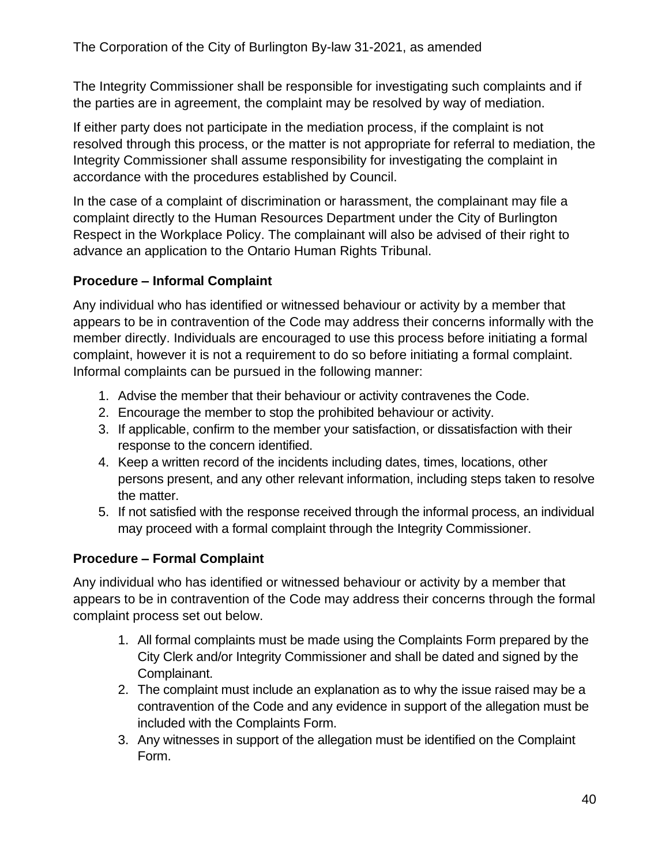The Integrity Commissioner shall be responsible for investigating such complaints and if the parties are in agreement, the complaint may be resolved by way of mediation.

If either party does not participate in the mediation process, if the complaint is not resolved through this process, or the matter is not appropriate for referral to mediation, the Integrity Commissioner shall assume responsibility for investigating the complaint in accordance with the procedures established by Council.

In the case of a complaint of discrimination or harassment, the complainant may file a complaint directly to the Human Resources Department under the City of Burlington Respect in the Workplace Policy. The complainant will also be advised of their right to advance an application to the Ontario Human Rights Tribunal.

## **Procedure – Informal Complaint**

Any individual who has identified or witnessed behaviour or activity by a member that appears to be in contravention of the Code may address their concerns informally with the member directly. Individuals are encouraged to use this process before initiating a formal complaint, however it is not a requirement to do so before initiating a formal complaint. Informal complaints can be pursued in the following manner:

- 1. Advise the member that their behaviour or activity contravenes the Code.
- 2. Encourage the member to stop the prohibited behaviour or activity.
- 3. If applicable, confirm to the member your satisfaction, or dissatisfaction with their response to the concern identified.
- 4. Keep a written record of the incidents including dates, times, locations, other persons present, and any other relevant information, including steps taken to resolve the matter.
- 5. If not satisfied with the response received through the informal process, an individual may proceed with a formal complaint through the Integrity Commissioner.

## **Procedure – Formal Complaint**

Any individual who has identified or witnessed behaviour or activity by a member that appears to be in contravention of the Code may address their concerns through the formal complaint process set out below.

- 1. All formal complaints must be made using the Complaints Form prepared by the City Clerk and/or Integrity Commissioner and shall be dated and signed by the Complainant.
- 2. The complaint must include an explanation as to why the issue raised may be a contravention of the Code and any evidence in support of the allegation must be included with the Complaints Form.
- 3. Any witnesses in support of the allegation must be identified on the Complaint Form.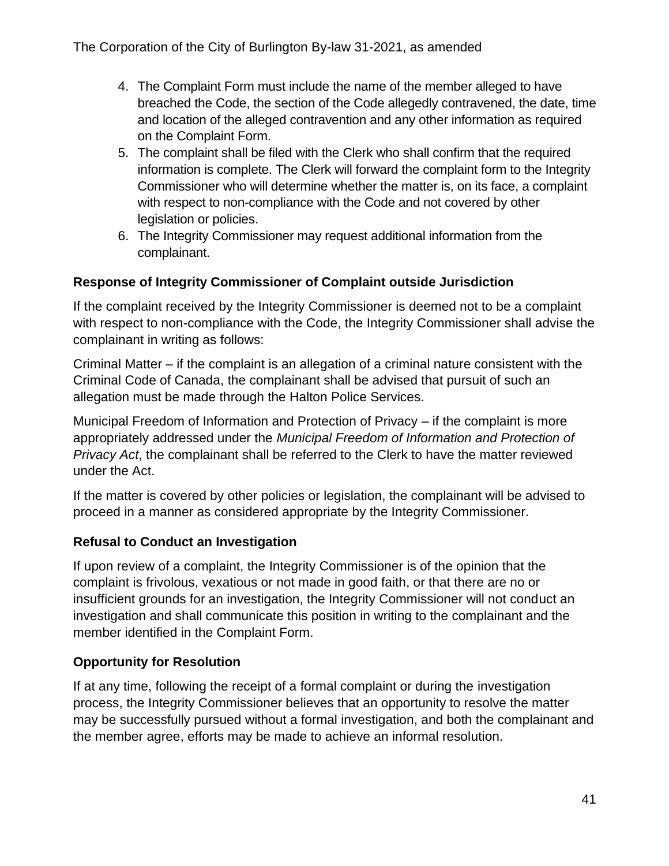- 4. The Complaint Form must include the name of the member alleged to have breached the Code, the section of the Code allegedly contravened, the date, time and location of the alleged contravention and any other information as required on the Complaint Form.
- 5. The complaint shall be filed with the Clerk who shall confirm that the required information is complete. The Clerk will forward the complaint form to the Integrity Commissioner who will determine whether the matter is, on its face, a complaint with respect to non-compliance with the Code and not covered by other legislation or policies.
- 6. The Integrity Commissioner may request additional information from the complainant.

## **Response of Integrity Commissioner of Complaint outside Jurisdiction**

If the complaint received by the Integrity Commissioner is deemed not to be a complaint with respect to non-compliance with the Code, the Integrity Commissioner shall advise the complainant in writing as follows:

Criminal Matter – if the complaint is an allegation of a criminal nature consistent with the Criminal Code of Canada, the complainant shall be advised that pursuit of such an allegation must be made through the Halton Police Services.

Municipal Freedom of Information and Protection of Privacy – if the complaint is more appropriately addressed under the *Municipal Freedom of Information and Protection of Privacy Act*, the complainant shall be referred to the Clerk to have the matter reviewed under the Act.

If the matter is covered by other policies or legislation, the complainant will be advised to proceed in a manner as considered appropriate by the Integrity Commissioner.

## **Refusal to Conduct an Investigation**

If upon review of a complaint, the Integrity Commissioner is of the opinion that the complaint is frivolous, vexatious or not made in good faith, or that there are no or insufficient grounds for an investigation, the Integrity Commissioner will not conduct an investigation and shall communicate this position in writing to the complainant and the member identified in the Complaint Form.

## **Opportunity for Resolution**

If at any time, following the receipt of a formal complaint or during the investigation process, the Integrity Commissioner believes that an opportunity to resolve the matter may be successfully pursued without a formal investigation, and both the complainant and the member agree, efforts may be made to achieve an informal resolution.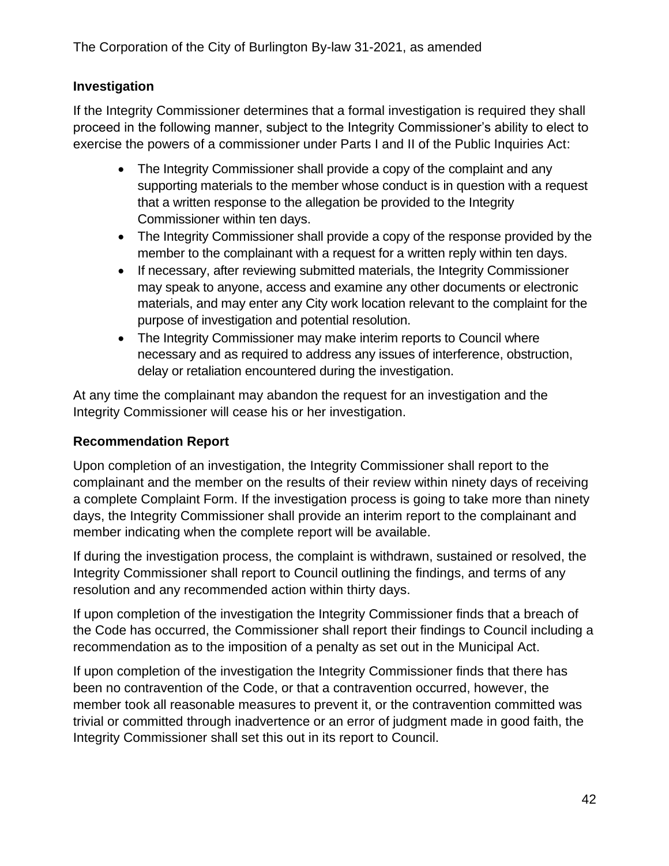## **Investigation**

If the Integrity Commissioner determines that a formal investigation is required they shall proceed in the following manner, subject to the Integrity Commissioner's ability to elect to exercise the powers of a commissioner under Parts I and II of the Public Inquiries Act:

- The Integrity Commissioner shall provide a copy of the complaint and any supporting materials to the member whose conduct is in question with a request that a written response to the allegation be provided to the Integrity Commissioner within ten days.
- The Integrity Commissioner shall provide a copy of the response provided by the member to the complainant with a request for a written reply within ten days.
- If necessary, after reviewing submitted materials, the Integrity Commissioner may speak to anyone, access and examine any other documents or electronic materials, and may enter any City work location relevant to the complaint for the purpose of investigation and potential resolution.
- The Integrity Commissioner may make interim reports to Council where necessary and as required to address any issues of interference, obstruction, delay or retaliation encountered during the investigation.

At any time the complainant may abandon the request for an investigation and the Integrity Commissioner will cease his or her investigation.

#### **Recommendation Report**

Upon completion of an investigation, the Integrity Commissioner shall report to the complainant and the member on the results of their review within ninety days of receiving a complete Complaint Form. If the investigation process is going to take more than ninety days, the Integrity Commissioner shall provide an interim report to the complainant and member indicating when the complete report will be available.

If during the investigation process, the complaint is withdrawn, sustained or resolved, the Integrity Commissioner shall report to Council outlining the findings, and terms of any resolution and any recommended action within thirty days.

If upon completion of the investigation the Integrity Commissioner finds that a breach of the Code has occurred, the Commissioner shall report their findings to Council including a recommendation as to the imposition of a penalty as set out in the Municipal Act.

If upon completion of the investigation the Integrity Commissioner finds that there has been no contravention of the Code, or that a contravention occurred, however, the member took all reasonable measures to prevent it, or the contravention committed was trivial or committed through inadvertence or an error of judgment made in good faith, the Integrity Commissioner shall set this out in its report to Council.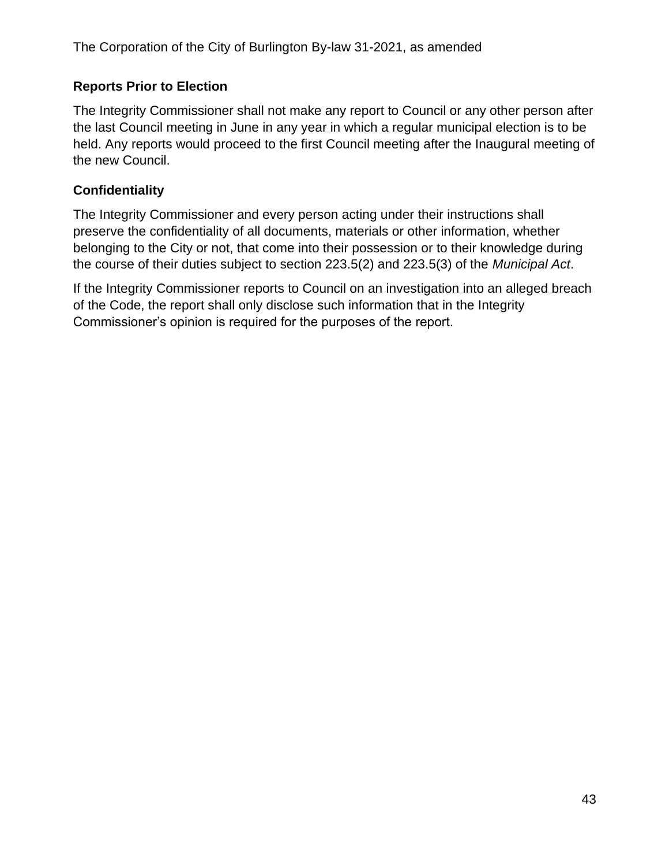### **Reports Prior to Election**

The Integrity Commissioner shall not make any report to Council or any other person after the last Council meeting in June in any year in which a regular municipal election is to be held. Any reports would proceed to the first Council meeting after the Inaugural meeting of the new Council.

### **Confidentiality**

The Integrity Commissioner and every person acting under their instructions shall preserve the confidentiality of all documents, materials or other information, whether belonging to the City or not, that come into their possession or to their knowledge during the course of their duties subject to section 223.5(2) and 223.5(3) of the *Municipal Act*.

If the Integrity Commissioner reports to Council on an investigation into an alleged breach of the Code, the report shall only disclose such information that in the Integrity Commissioner's opinion is required for the purposes of the report.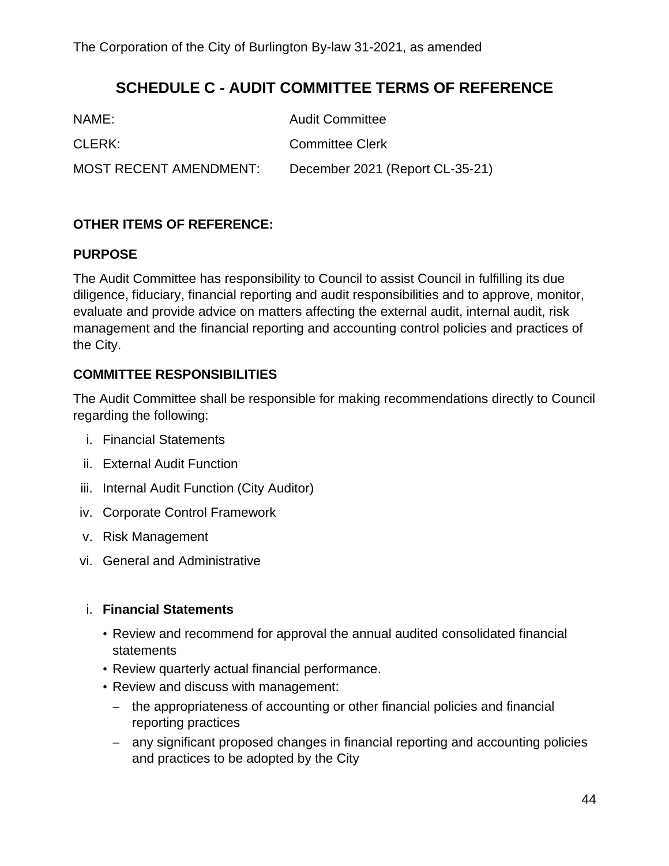## **SCHEDULE C - AUDIT COMMITTEE TERMS OF REFERENCE**

<span id="page-43-0"></span>

| NAME:                         | <b>Audit Committee</b>          |
|-------------------------------|---------------------------------|
| CLERK:                        | Committee Clerk                 |
| <b>MOST RECENT AMENDMENT:</b> | December 2021 (Report CL-35-21) |

### **OTHER ITEMS OF REFERENCE:**

#### **PURPOSE**

The Audit Committee has responsibility to Council to assist Council in fulfilling its due diligence, fiduciary, financial reporting and audit responsibilities and to approve, monitor, evaluate and provide advice on matters affecting the external audit, internal audit, risk management and the financial reporting and accounting control policies and practices of the City.

### **COMMITTEE RESPONSIBILITIES**

The Audit Committee shall be responsible for making recommendations directly to Council regarding the following:

- i. Financial Statements
- ii. External Audit Function
- iii. Internal Audit Function (City Auditor)
- iv. Corporate Control Framework
- v. Risk Management
- vi. General and Administrative

#### i. **Financial Statements**

- Review and recommend for approval the annual audited consolidated financial statements
- Review quarterly actual financial performance.
- Review and discuss with management:
	- − the appropriateness of accounting or other financial policies and financial reporting practices
	- − any significant proposed changes in financial reporting and accounting policies and practices to be adopted by the City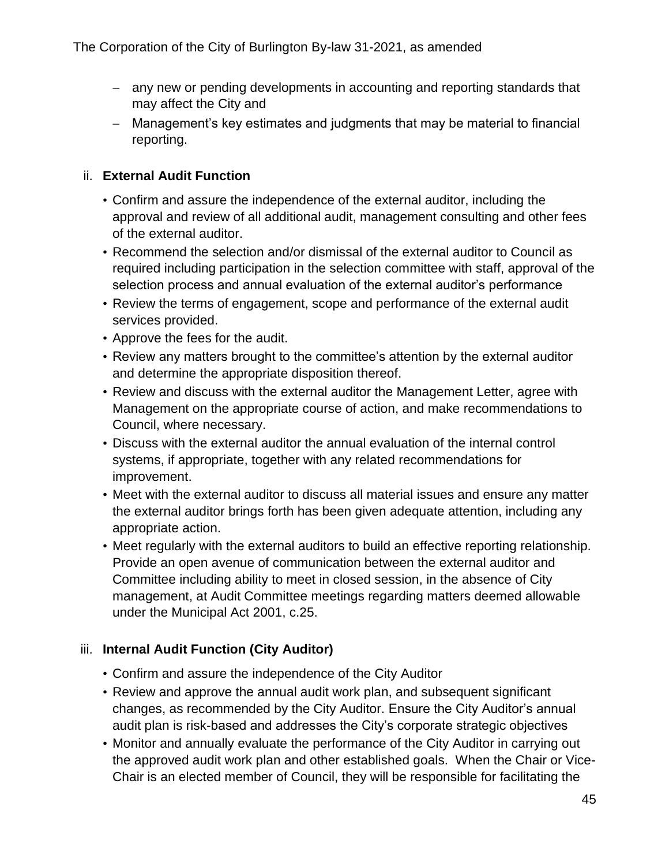- − any new or pending developments in accounting and reporting standards that may affect the City and
- − Management's key estimates and judgments that may be material to financial reporting.

### ii. **External Audit Function**

- Confirm and assure the independence of the external auditor, including the approval and review of all additional audit, management consulting and other fees of the external auditor.
- Recommend the selection and/or dismissal of the external auditor to Council as required including participation in the selection committee with staff, approval of the selection process and annual evaluation of the external auditor's performance
- Review the terms of engagement, scope and performance of the external audit services provided.
- Approve the fees for the audit.
- Review any matters brought to the committee's attention by the external auditor and determine the appropriate disposition thereof.
- Review and discuss with the external auditor the Management Letter, agree with Management on the appropriate course of action, and make recommendations to Council, where necessary.
- Discuss with the external auditor the annual evaluation of the internal control systems, if appropriate, together with any related recommendations for improvement.
- Meet with the external auditor to discuss all material issues and ensure any matter the external auditor brings forth has been given adequate attention, including any appropriate action.
- Meet regularly with the external auditors to build an effective reporting relationship. Provide an open avenue of communication between the external auditor and Committee including ability to meet in closed session, in the absence of City management, at Audit Committee meetings regarding matters deemed allowable under the Municipal Act 2001, c.25.

## iii. **Internal Audit Function (City Auditor)**

- Confirm and assure the independence of the City Auditor
- Review and approve the annual audit work plan, and subsequent significant changes, as recommended by the City Auditor. Ensure the City Auditor's annual audit plan is risk-based and addresses the City's corporate strategic objectives
- Monitor and annually evaluate the performance of the City Auditor in carrying out the approved audit work plan and other established goals. When the Chair or Vice-Chair is an elected member of Council, they will be responsible for facilitating the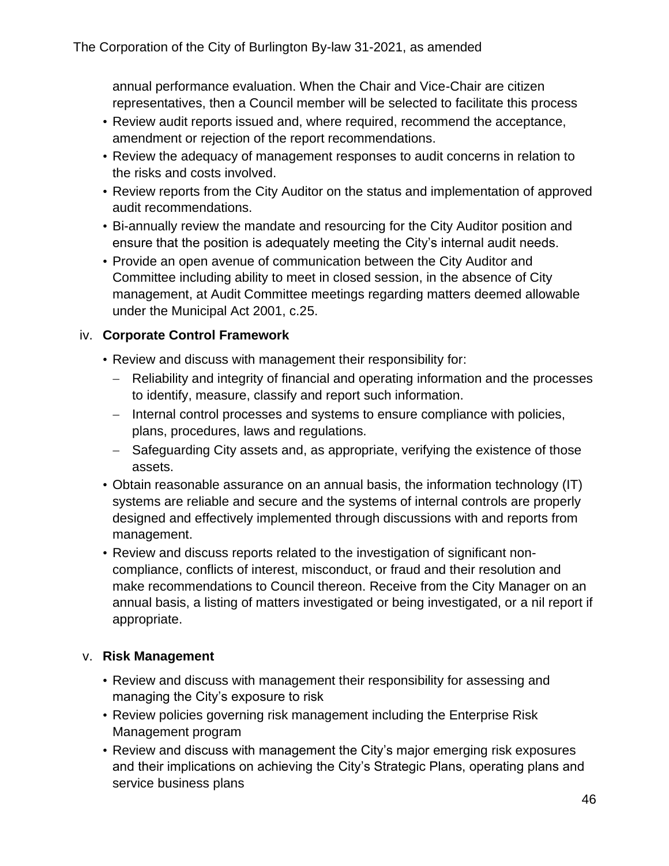annual performance evaluation. When the Chair and Vice-Chair are citizen representatives, then a Council member will be selected to facilitate this process

- Review audit reports issued and, where required, recommend the acceptance, amendment or rejection of the report recommendations.
- Review the adequacy of management responses to audit concerns in relation to the risks and costs involved.
- Review reports from the City Auditor on the status and implementation of approved audit recommendations.
- Bi-annually review the mandate and resourcing for the City Auditor position and ensure that the position is adequately meeting the City's internal audit needs.
- Provide an open avenue of communication between the City Auditor and Committee including ability to meet in closed session, in the absence of City management, at Audit Committee meetings regarding matters deemed allowable under the Municipal Act 2001, c.25.

#### iv. **Corporate Control Framework**

- Review and discuss with management their responsibility for:
	- − Reliability and integrity of financial and operating information and the processes to identify, measure, classify and report such information.
	- − Internal control processes and systems to ensure compliance with policies, plans, procedures, laws and regulations.
	- − Safeguarding City assets and, as appropriate, verifying the existence of those assets.
- Obtain reasonable assurance on an annual basis, the information technology (IT) systems are reliable and secure and the systems of internal controls are properly designed and effectively implemented through discussions with and reports from management.
- Review and discuss reports related to the investigation of significant noncompliance, conflicts of interest, misconduct, or fraud and their resolution and make recommendations to Council thereon. Receive from the City Manager on an annual basis, a listing of matters investigated or being investigated, or a nil report if appropriate.

#### v. **Risk Management**

- Review and discuss with management their responsibility for assessing and managing the City's exposure to risk
- Review policies governing risk management including the Enterprise Risk Management program
- Review and discuss with management the City's major emerging risk exposures and their implications on achieving the City's Strategic Plans, operating plans and service business plans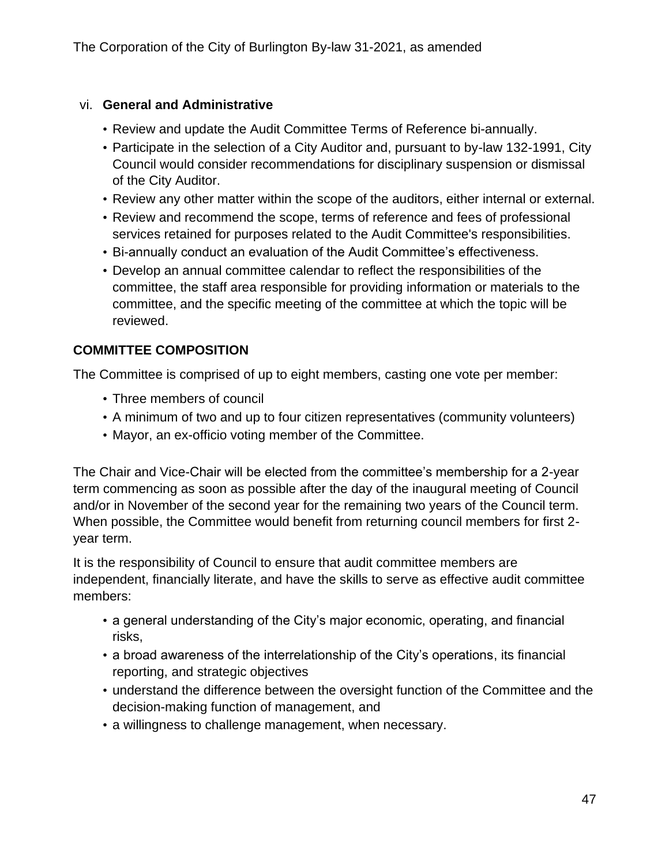#### vi. **General and Administrative**

- Review and update the Audit Committee Terms of Reference bi-annually.
- Participate in the selection of a City Auditor and, pursuant to by-law 132-1991, City Council would consider recommendations for disciplinary suspension or dismissal of the City Auditor.
- Review any other matter within the scope of the auditors, either internal or external.
- Review and recommend the scope, terms of reference and fees of professional services retained for purposes related to the Audit Committee's responsibilities.
- Bi-annually conduct an evaluation of the Audit Committee's effectiveness.
- Develop an annual committee calendar to reflect the responsibilities of the committee, the staff area responsible for providing information or materials to the committee, and the specific meeting of the committee at which the topic will be reviewed.

### **COMMITTEE COMPOSITION**

The Committee is comprised of up to eight members, casting one vote per member:

- Three members of council
- A minimum of two and up to four citizen representatives (community volunteers)
- Mayor, an ex-officio voting member of the Committee.

The Chair and Vice-Chair will be elected from the committee's membership for a 2-year term commencing as soon as possible after the day of the inaugural meeting of Council and/or in November of the second year for the remaining two years of the Council term. When possible, the Committee would benefit from returning council members for first 2 year term.

It is the responsibility of Council to ensure that audit committee members are independent, financially literate, and have the skills to serve as effective audit committee members:

- a general understanding of the City's major economic, operating, and financial risks,
- a broad awareness of the interrelationship of the City's operations, its financial reporting, and strategic objectives
- understand the difference between the oversight function of the Committee and the decision-making function of management, and
- a willingness to challenge management, when necessary.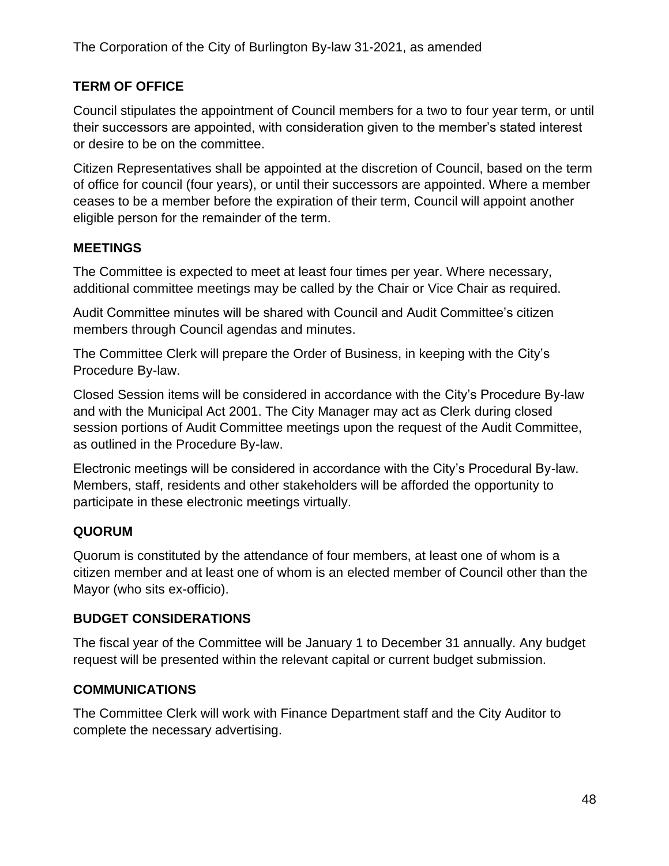## **TERM OF OFFICE**

Council stipulates the appointment of Council members for a two to four year term, or until their successors are appointed, with consideration given to the member's stated interest or desire to be on the committee.

Citizen Representatives shall be appointed at the discretion of Council, based on the term of office for council (four years), or until their successors are appointed. Where a member ceases to be a member before the expiration of their term, Council will appoint another eligible person for the remainder of the term.

### **MEETINGS**

The Committee is expected to meet at least four times per year. Where necessary, additional committee meetings may be called by the Chair or Vice Chair as required.

Audit Committee minutes will be shared with Council and Audit Committee's citizen members through Council agendas and minutes.

The Committee Clerk will prepare the Order of Business, in keeping with the City's Procedure By-law.

Closed Session items will be considered in accordance with the City's Procedure By-law and with the Municipal Act 2001. The City Manager may act as Clerk during closed session portions of Audit Committee meetings upon the request of the Audit Committee, as outlined in the Procedure By-law.

Electronic meetings will be considered in accordance with the City's Procedural By-law. Members, staff, residents and other stakeholders will be afforded the opportunity to participate in these electronic meetings virtually.

## **QUORUM**

Quorum is constituted by the attendance of four members, at least one of whom is a citizen member and at least one of whom is an elected member of Council other than the Mayor (who sits ex-officio).

#### **BUDGET CONSIDERATIONS**

The fiscal year of the Committee will be January 1 to December 31 annually. Any budget request will be presented within the relevant capital or current budget submission.

#### **COMMUNICATIONS**

The Committee Clerk will work with Finance Department staff and the City Auditor to complete the necessary advertising.